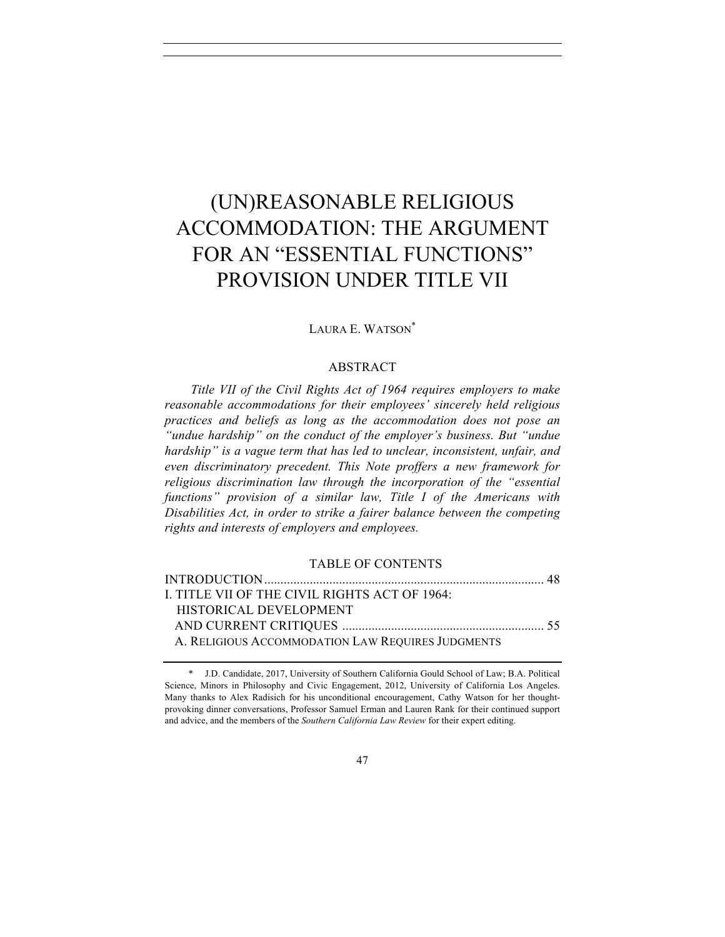# (UN)REASONABLE RELIGIOUS ACCOMMODATION: THE ARGUMENT FOR AN "ESSENTIAL FUNCTIONS" PROVISION UNDER TITLE VII

#### LAURA E. WATSON\*

#### ABSTRACT

*Title VII of the Civil Rights Act of 1964 requires employers to make reasonable accommodations for their employees' sincerely held religious practices and beliefs as long as the accommodation does not pose an "undue hardship" on the conduct of the employer's business. But "undue hardship" is a vague term that has led to unclear, inconsistent, unfair, and even discriminatory precedent. This Note proffers a new framework for religious discrimination law through the incorporation of the "essential functions" provision of a similar law, Title I of the Americans with Disabilities Act, in order to strike a fairer balance between the competing rights and interests of employers and employees.*

#### TABLE OF CONTENTS

| I. TITLE VII OF THE CIVIL RIGHTS ACT OF 1964:     |  |
|---------------------------------------------------|--|
| HISTORICAL DEVELOPMENT                            |  |
|                                                   |  |
| A. RELIGIOUS ACCOMMODATION LAW REQUIRES JUDGMENTS |  |

<sup>\*</sup> J.D. Candidate, 2017, University of Southern California Gould School of Law; B.A. Political Science, Minors in Philosophy and Civic Engagement, 2012, University of California Los Angeles. Many thanks to Alex Radisich for his unconditional encouragement, Cathy Watson for her thoughtprovoking dinner conversations, Professor Samuel Erman and Lauren Rank for their continued support and advice, and the members of the *Southern California Law Review* for their expert editing.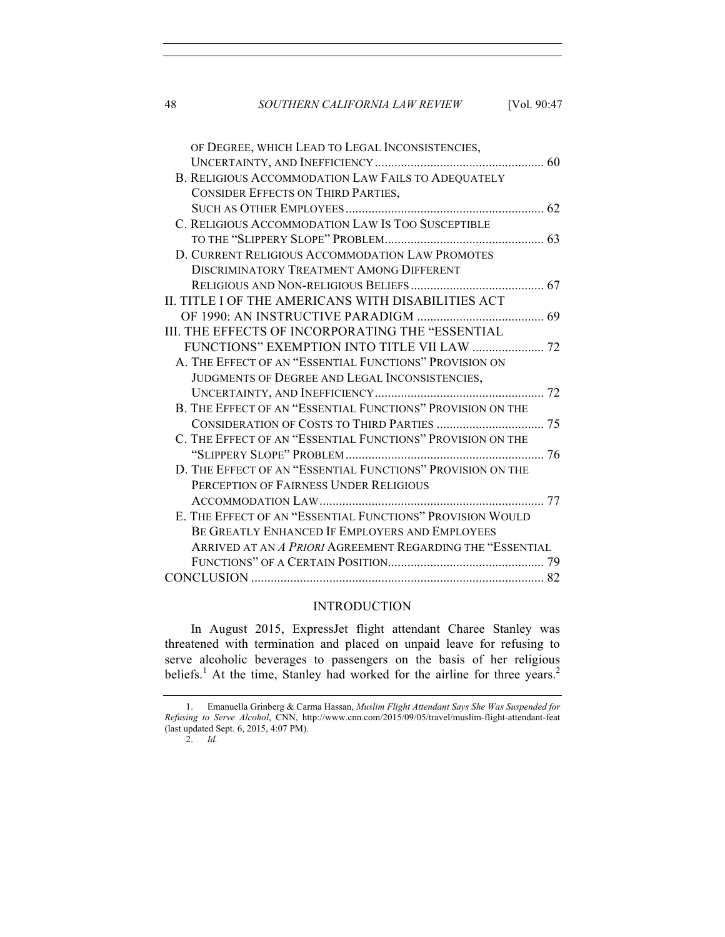| 48 | SOUTHERN CALIFORNIA LAW REVIEW                             | [Vol. 90:47 |
|----|------------------------------------------------------------|-------------|
|    | OF DEGREE, WHICH LEAD TO LEGAL INCONSISTENCIES,            |             |
|    |                                                            |             |
|    | B. RELIGIOUS ACCOMMODATION LAW FAILS TO ADEQUATELY         |             |
|    | <b>CONSIDER EFFECTS ON THIRD PARTIES,</b>                  |             |
|    |                                                            |             |
|    | C. RELIGIOUS ACCOMMODATION LAW IS TOO SUSCEPTIBLE          |             |
|    |                                                            |             |
|    | D. CURRENT RELIGIOUS ACCOMMODATION LAW PROMOTES            |             |
|    | <b>DISCRIMINATORY TREATMENT AMONG DIFFERENT</b>            |             |
|    |                                                            |             |
|    | II. TITLE I OF THE AMERICANS WITH DISABILITIES ACT         |             |
|    |                                                            |             |
|    | III. THE EFFECTS OF INCORPORATING THE "ESSENTIAL           |             |
|    | FUNCTIONS" EXEMPTION INTO TITLE VII LAW  72                |             |
|    | A. THE EFFECT OF AN "ESSENTIAL FUNCTIONS" PROVISION ON     |             |
|    | JUDGMENTS OF DEGREE AND LEGAL INCONSISTENCIES,             |             |
|    |                                                            |             |
|    | B. THE EFFECT OF AN "ESSENTIAL FUNCTIONS" PROVISION ON THE |             |
|    |                                                            |             |
|    | C. THE EFFECT OF AN "ESSENTIAL FUNCTIONS" PROVISION ON THE |             |
|    |                                                            |             |
|    | D. THE EFFECT OF AN "ESSENTIAL FUNCTIONS" PROVISION ON THE |             |
|    | PERCEPTION OF FAIRNESS UNDER RELIGIOUS                     |             |
|    |                                                            |             |
|    | E. THE EFFECT OF AN "ESSENTIAL FUNCTIONS" PROVISION WOULD  |             |
|    | BE GREATLY ENHANCED IF EMPLOYERS AND EMPLOYEES             |             |
|    | ARRIVED AT AN A PRIORI AGREEMENT REGARDING THE "ESSENTIAL  |             |
|    |                                                            |             |
|    |                                                            |             |
|    |                                                            |             |

# INTRODUCTION

In August 2015, ExpressJet flight attendant Charee Stanley was threatened with termination and placed on unpaid leave for refusing to serve alcoholic beverages to passengers on the basis of her religious beliefs.<sup>1</sup> At the time, Stanley had worked for the airline for three years.<sup>2</sup>

2. *Id.*

<sup>1.</sup> Emanuella Grinberg & Carma Hassan, *Muslim Flight Attendant Says She Was Suspended for Refusing to Serve Alcohol*, CNN, http://www.cnn.com/2015/09/05/travel/muslim-flight-attendant-feat (last updated Sept. 6, 2015, 4:07 PM).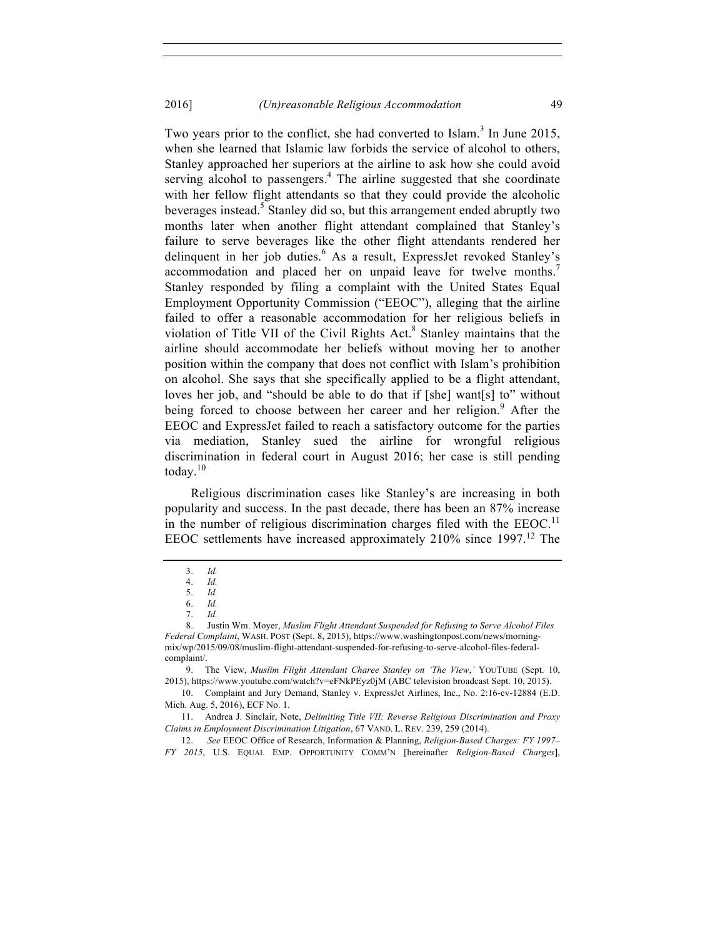Two years prior to the conflict, she had converted to Islam.<sup>3</sup> In June 2015, when she learned that Islamic law forbids the service of alcohol to others, Stanley approached her superiors at the airline to ask how she could avoid serving alcohol to passengers. $4$  The airline suggested that she coordinate with her fellow flight attendants so that they could provide the alcoholic beverages instead.<sup>5</sup> Stanley did so, but this arrangement ended abruptly two months later when another flight attendant complained that Stanley's failure to serve beverages like the other flight attendants rendered her delinquent in her job duties.<sup>6</sup> As a result, ExpressJet revoked Stanley's accommodation and placed her on unpaid leave for twelve months.<sup>7</sup> Stanley responded by filing a complaint with the United States Equal Employment Opportunity Commission ("EEOC"), alleging that the airline failed to offer a reasonable accommodation for her religious beliefs in violation of Title VII of the Civil Rights Act.<sup>8</sup> Stanley maintains that the airline should accommodate her beliefs without moving her to another position within the company that does not conflict with Islam's prohibition on alcohol. She says that she specifically applied to be a flight attendant, loves her job, and "should be able to do that if [she] want[s] to" without being forced to choose between her career and her religion.<sup>9</sup> After the EEOC and ExpressJet failed to reach a satisfactory outcome for the parties via mediation, Stanley sued the airline for wrongful religious discrimination in federal court in August 2016; her case is still pending today. 10

Religious discrimination cases like Stanley's are increasing in both popularity and success. In the past decade, there has been an 87% increase in the number of religious discrimination charges filed with the  $EEOC<sup>11</sup>$ EEOC settlements have increased approximately  $210\%$  since  $1997$ .<sup>12</sup> The

<sup>3.</sup> *Id.*

<sup>4.</sup> *Id.*

<sup>5.</sup> *Id.*

<sup>6.</sup> *Id.*

<sup>7.</sup> *Id.*

<sup>8.</sup> Justin Wm. Moyer, *Muslim Flight Attendant Suspended for Refusing to Serve Alcohol Files Federal Complaint*, WASH. POST (Sept. 8, 2015), https://www.washingtonpost.com/news/morningmix/wp/2015/09/08/muslim-flight-attendant-suspended-for-refusing-to-serve-alcohol-files-federalcomplaint/.

<sup>9.</sup> The View, *Muslim Flight Attendant Charee Stanley on 'The View*,*'* YOUTUBE (Sept. 10, 2015), https://www.youtube.com/watch?v=eFNkPEyz0jM (ABC television broadcast Sept. 10, 2015).

<sup>10.</sup> Complaint and Jury Demand, Stanley v. ExpressJet Airlines, Inc., No. 2:16-cv-12884 (E.D. Mich. Aug. 5, 2016), ECF No. 1.

<sup>11.</sup> Andrea J. Sinclair, Note, *Delimiting Title VII: Reverse Religious Discrimination and Proxy Claims in Employment Discrimination Litigation*, 67 VAND. L. REV. 239, 259 (2014).

<sup>12.</sup> *See* EEOC Office of Research, Information & Planning, *Religion-Based Charges: FY 1997– FY 2015*, U.S. EQUAL EMP. OPPORTUNITY COMM'N [hereinafter *Religion-Based Charges*],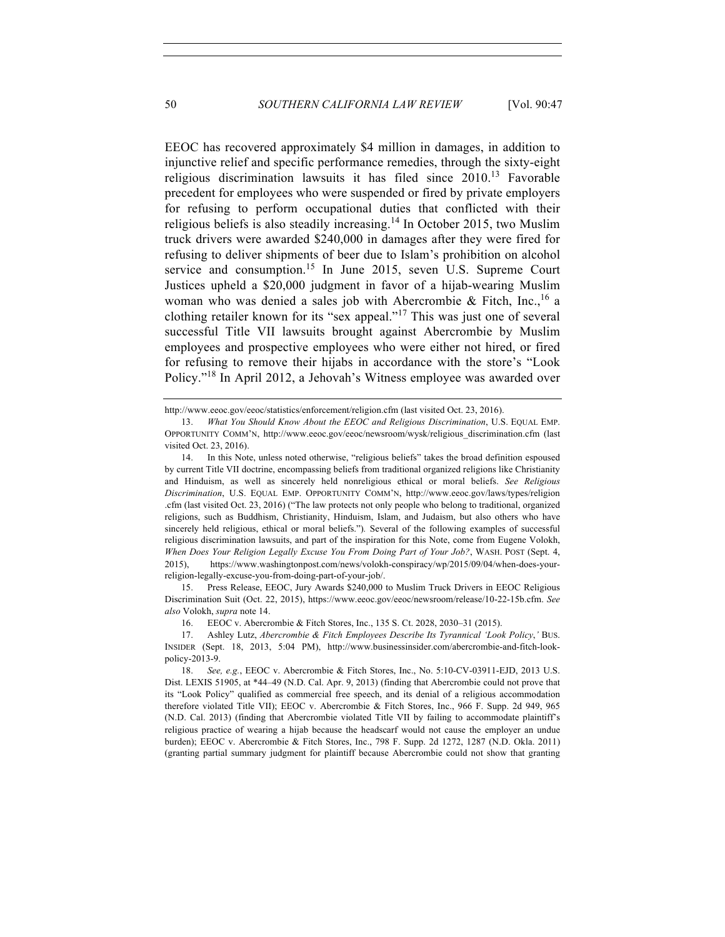EEOC has recovered approximately \$4 million in damages, in addition to injunctive relief and specific performance remedies, through the sixty-eight religious discrimination lawsuits it has filed since  $2010^{13}$  Favorable precedent for employees who were suspended or fired by private employers for refusing to perform occupational duties that conflicted with their religious beliefs is also steadily increasing.<sup>14</sup> In October 2015, two Muslim truck drivers were awarded \$240,000 in damages after they were fired for refusing to deliver shipments of beer due to Islam's prohibition on alcohol service and consumption.<sup>15</sup> In June 2015, seven U.S. Supreme Court Justices upheld a \$20,000 judgment in favor of a hijab-wearing Muslim woman who was denied a sales job with Abercrombie & Fitch, Inc.,<sup>16</sup> a clothing retailer known for its "sex appeal."<sup>17</sup> This was just one of several successful Title VII lawsuits brought against Abercrombie by Muslim employees and prospective employees who were either not hired, or fired for refusing to remove their hijabs in accordance with the store's "Look Policy."<sup>18</sup> In April 2012, a Jehovah's Witness employee was awarded over

15. Press Release, EEOC, Jury Awards \$240,000 to Muslim Truck Drivers in EEOC Religious Discrimination Suit (Oct. 22, 2015), https://www.eeoc.gov/eeoc/newsroom/release/10-22-15b.cfm. *See also* Volokh, *supra* note 14.

http://www.eeoc.gov/eeoc/statistics/enforcement/religion.cfm (last visited Oct. 23, 2016).

<sup>13.</sup> *What You Should Know About the EEOC and Religious Discrimination*, U.S. EQUAL EMP. OPPORTUNITY COMM'N, http://www.eeoc.gov/eeoc/newsroom/wysk/religious\_discrimination.cfm (last visited Oct. 23, 2016).

<sup>14.</sup> In this Note, unless noted otherwise, "religious beliefs" takes the broad definition espoused by current Title VII doctrine, encompassing beliefs from traditional organized religions like Christianity and Hinduism, as well as sincerely held nonreligious ethical or moral beliefs. *See Religious Discrimination*, U.S. EQUAL EMP. OPPORTUNITY COMM'N, http://www.eeoc.gov/laws/types/religion .cfm (last visited Oct. 23, 2016) ("The law protects not only people who belong to traditional, organized religions, such as Buddhism, Christianity, Hinduism, Islam, and Judaism, but also others who have sincerely held religious, ethical or moral beliefs.")*.* Several of the following examples of successful religious discrimination lawsuits, and part of the inspiration for this Note, come from Eugene Volokh, *When Does Your Religion Legally Excuse You From Doing Part of Your Job?*, WASH. POST (Sept. 4, 2015), https://www.washingtonpost.com/news/volokh-conspiracy/wp/2015/09/04/when-does-yourreligion-legally-excuse-you-from-doing-part-of-your-job/.

<sup>16.</sup> EEOC v. Abercrombie & Fitch Stores, Inc., 135 S. Ct. 2028, 2030–31 (2015).

<sup>17.</sup> Ashley Lutz, *Abercrombie & Fitch Employees Describe Its Tyrannical 'Look Policy*,*'* BUS. INSIDER (Sept. 18, 2013, 5:04 PM), http://www.businessinsider.com/abercrombie-and-fitch-lookpolicy-2013-9.

<sup>18.</sup> *See, e.g.*, EEOC v. Abercrombie & Fitch Stores, Inc., No. 5:10-CV-03911-EJD, 2013 U.S. Dist. LEXIS 51905, at \*44–49 (N.D. Cal. Apr. 9, 2013) (finding that Abercrombie could not prove that its "Look Policy" qualified as commercial free speech, and its denial of a religious accommodation therefore violated Title VII); EEOC v. Abercrombie & Fitch Stores, Inc., 966 F. Supp. 2d 949, 965 (N.D. Cal. 2013) (finding that Abercrombie violated Title VII by failing to accommodate plaintiff's religious practice of wearing a hijab because the headscarf would not cause the employer an undue burden); EEOC v. Abercrombie & Fitch Stores, Inc., 798 F. Supp. 2d 1272, 1287 (N.D. Okla. 2011) (granting partial summary judgment for plaintiff because Abercrombie could not show that granting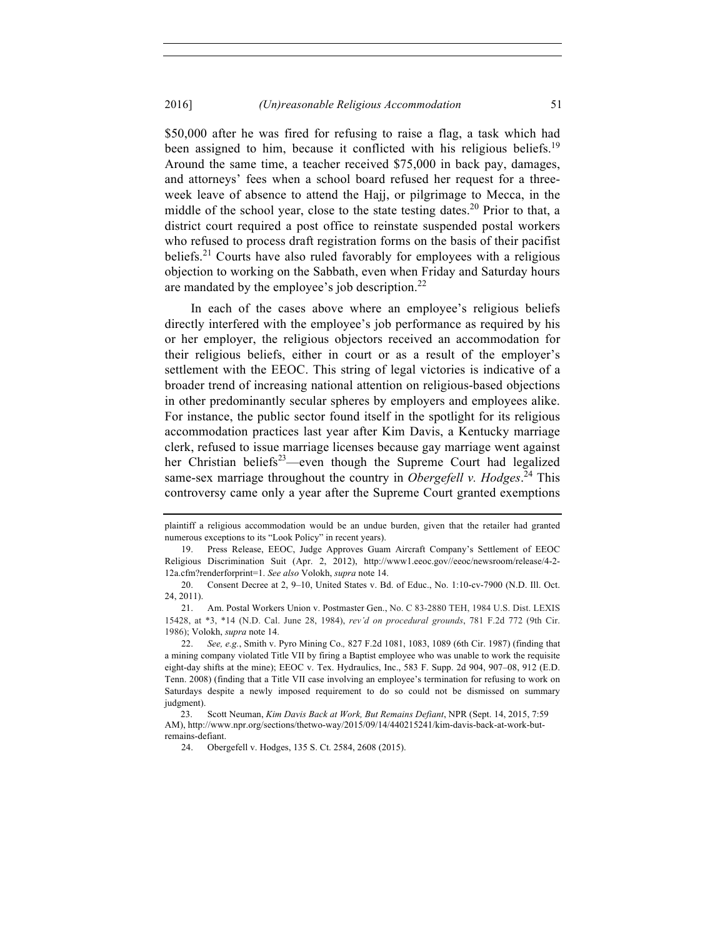\$50,000 after he was fired for refusing to raise a flag, a task which had been assigned to him, because it conflicted with his religious beliefs.<sup>19</sup> Around the same time, a teacher received \$75,000 in back pay, damages, and attorneys' fees when a school board refused her request for a threeweek leave of absence to attend the Hajj, or pilgrimage to Mecca, in the middle of the school year, close to the state testing dates.<sup>20</sup> Prior to that, a district court required a post office to reinstate suspended postal workers who refused to process draft registration forms on the basis of their pacifist beliefs.<sup>21</sup> Courts have also ruled favorably for employees with a religious objection to working on the Sabbath, even when Friday and Saturday hours are mandated by the employee's job description.<sup>22</sup>

In each of the cases above where an employee's religious beliefs directly interfered with the employee's job performance as required by his or her employer, the religious objectors received an accommodation for their religious beliefs, either in court or as a result of the employer's settlement with the EEOC. This string of legal victories is indicative of a broader trend of increasing national attention on religious-based objections in other predominantly secular spheres by employers and employees alike. For instance, the public sector found itself in the spotlight for its religious accommodation practices last year after Kim Davis, a Kentucky marriage clerk, refused to issue marriage licenses because gay marriage went against her Christian beliefs<sup>23</sup>—even though the Supreme Court had legalized same-sex marriage throughout the country in *Obergefell v. Hodges*. <sup>24</sup> This controversy came only a year after the Supreme Court granted exemptions

plaintiff a religious accommodation would be an undue burden, given that the retailer had granted numerous exceptions to its "Look Policy" in recent years).

<sup>19.</sup> Press Release, EEOC, Judge Approves Guam Aircraft Company's Settlement of EEOC Religious Discrimination Suit (Apr. 2, 2012), http://www1.eeoc.gov//eeoc/newsroom/release/4-2- 12a.cfm?renderforprint=1. *See also* Volokh, *supra* note 14.

<sup>20.</sup> Consent Decree at 2, 9–10, United States v. Bd. of Educ., No. 1:10-cv-7900 (N.D. Ill. Oct. 24, 2011).

<sup>21.</sup> Am. Postal Workers Union v. Postmaster Gen., No. C 83-2880 TEH, 1984 U.S. Dist. LEXIS 15428, at \*3, \*14 (N.D. Cal. June 28, 1984), *rev'd on procedural grounds*, 781 F.2d 772 (9th Cir. 1986); Volokh, *supra* note 14.

<sup>22.</sup> *See, e.g.*, Smith v. Pyro Mining Co.*,* 827 F.2d 1081, 1083, 1089 (6th Cir. 1987) (finding that a mining company violated Title VII by firing a Baptist employee who was unable to work the requisite eight-day shifts at the mine); EEOC v. Tex. Hydraulics, Inc., 583 F. Supp. 2d 904, 907–08, 912 (E.D. Tenn. 2008) (finding that a Title VII case involving an employee's termination for refusing to work on Saturdays despite a newly imposed requirement to do so could not be dismissed on summary judgment).

<sup>23.</sup> Scott Neuman, *Kim Davis Back at Work, But Remains Defiant*, NPR (Sept. 14, 2015, 7:59 AM), http://www.npr.org/sections/thetwo-way/2015/09/14/440215241/kim-davis-back-at-work-butremains-defiant.

<sup>24.</sup> Obergefell v. Hodges, 135 S. Ct. 2584, 2608 (2015).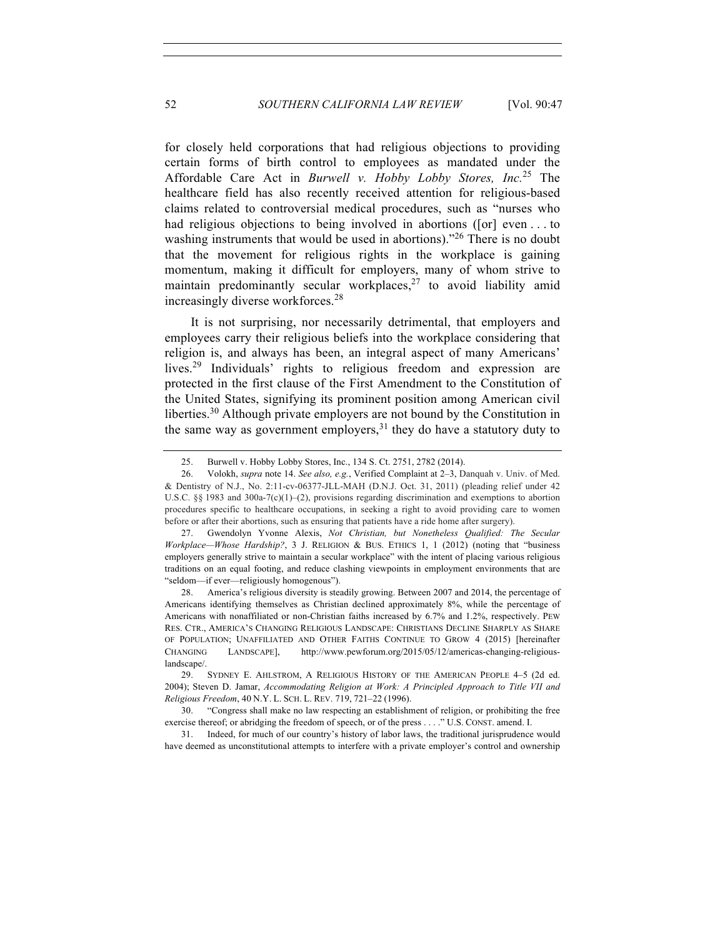for closely held corporations that had religious objections to providing certain forms of birth control to employees as mandated under the Affordable Care Act in *Burwell v. Hobby Lobby Stores, Inc.* <sup>25</sup> The healthcare field has also recently received attention for religious-based claims related to controversial medical procedures, such as "nurses who had religious objections to being involved in abortions ([or] even . . . to washing instruments that would be used in abortions)."<sup>26</sup> There is no doubt that the movement for religious rights in the workplace is gaining momentum, making it difficult for employers, many of whom strive to maintain predominantly secular workplaces, $27$  to avoid liability amid increasingly diverse workforces.<sup>28</sup>

It is not surprising, nor necessarily detrimental, that employers and employees carry their religious beliefs into the workplace considering that religion is, and always has been, an integral aspect of many Americans' lives.<sup>29</sup> Individuals' rights to religious freedom and expression are protected in the first clause of the First Amendment to the Constitution of the United States, signifying its prominent position among American civil liberties.<sup>30</sup> Although private employers are not bound by the Constitution in the same way as government employers, $31$  they do have a statutory duty to

28. America's religious diversity is steadily growing. Between 2007 and 2014, the percentage of Americans identifying themselves as Christian declined approximately 8%, while the percentage of Americans with nonaffiliated or non-Christian faiths increased by 6.7% and 1.2%, respectively. PEW RES. CTR., AMERICA'S CHANGING RELIGIOUS LANDSCAPE: CHRISTIANS DECLINE SHARPLY AS SHARE OF POPULATION; UNAFFILIATED AND OTHER FAITHS CONTINUE TO GROW 4 (2015) [hereinafter CHANGING LANDSCAPE], http://www.pewforum.org/2015/05/12/americas-changing-religiouslandscape/

31. Indeed, for much of our country's history of labor laws, the traditional jurisprudence would have deemed as unconstitutional attempts to interfere with a private employer's control and ownership

<sup>25.</sup> Burwell v. Hobby Lobby Stores, Inc., 134 S. Ct. 2751, 2782 (2014).

<sup>26.</sup> Volokh, *supra* note 14. *See also, e.g.*, Verified Complaint at 2–3, Danquah v. Univ. of Med. & Dentistry of N.J., No. 2:11-cv-06377-JLL-MAH (D.N.J. Oct. 31, 2011) (pleading relief under 42 U.S.C. §§ 1983 and 300a-7(c)(1)-(2), provisions regarding discrimination and exemptions to abortion procedures specific to healthcare occupations, in seeking a right to avoid providing care to women before or after their abortions, such as ensuring that patients have a ride home after surgery).

<sup>27.</sup> Gwendolyn Yvonne Alexis, *Not Christian, but Nonetheless Qualified: The Secular Workplace—Whose Hardship?*, 3 J. RELIGION & BUS. ETHICS 1, 1 (2012) (noting that "business employers generally strive to maintain a secular workplace" with the intent of placing various religious traditions on an equal footing, and reduce clashing viewpoints in employment environments that are "seldom—if ever—religiously homogenous").

<sup>29.</sup> SYDNEY E. AHLSTROM, A RELIGIOUS HISTORY OF THE AMERICAN PEOPLE 4–5 (2d ed. 2004); Steven D. Jamar, *Accommodating Religion at Work: A Principled Approach to Title VII and Religious Freedom*, 40 N.Y. L. SCH. L. REV. 719, 721–22 (1996).

<sup>30.</sup> "Congress shall make no law respecting an establishment of religion, or prohibiting the free exercise thereof; or abridging the freedom of speech, or of the press . . . ." U.S. CONST. amend. I.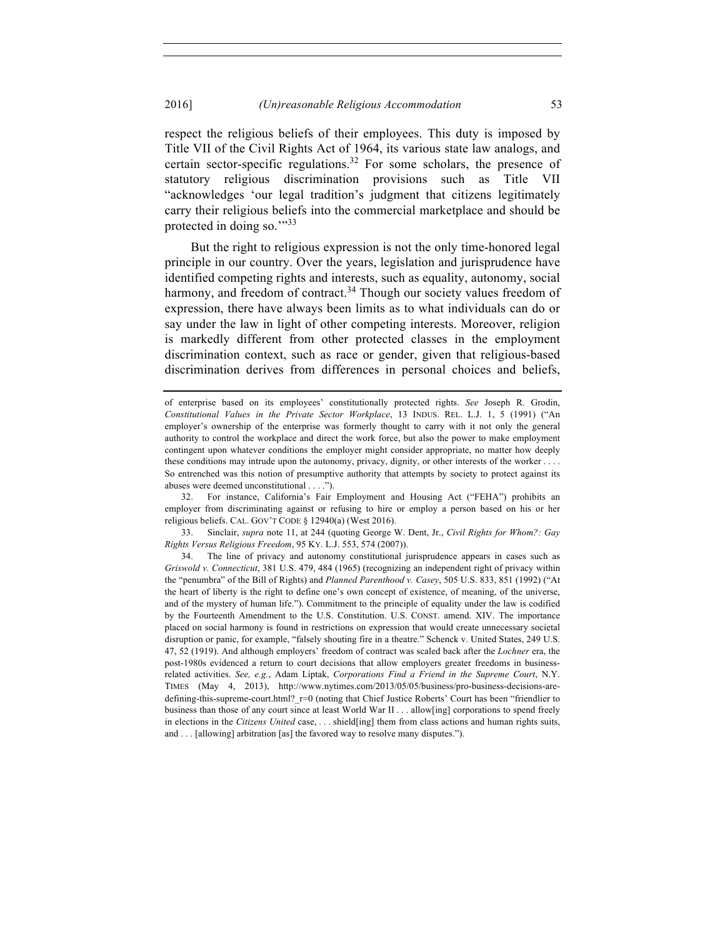respect the religious beliefs of their employees. This duty is imposed by Title VII of the Civil Rights Act of 1964, its various state law analogs, and certain sector-specific regulations.<sup>32</sup> For some scholars, the presence of statutory religious discrimination provisions such as Title VII "acknowledges 'our legal tradition's judgment that citizens legitimately carry their religious beliefs into the commercial marketplace and should be protected in doing so."<sup>33</sup>

But the right to religious expression is not the only time-honored legal principle in our country. Over the years, legislation and jurisprudence have identified competing rights and interests, such as equality, autonomy, social harmony, and freedom of contract.<sup>34</sup> Though our society values freedom of expression, there have always been limits as to what individuals can do or say under the law in light of other competing interests. Moreover, religion is markedly different from other protected classes in the employment discrimination context, such as race or gender, given that religious-based discrimination derives from differences in personal choices and beliefs,

32. For instance, California's Fair Employment and Housing Act ("FEHA") prohibits an employer from discriminating against or refusing to hire or employ a person based on his or her religious beliefs. CAL. GOV'T CODE § 12940(a) (West 2016).

33. Sinclair, *supra* note 11, at 244 (quoting George W. Dent, Jr., *Civil Rights for Whom?: Gay Rights Versus Religious Freedom*, 95 KY. L.J. 553, 574 (2007)).

34. The line of privacy and autonomy constitutional jurisprudence appears in cases such as *Griswold v. Connecticut*, 381 U.S. 479, 484 (1965) (recognizing an independent right of privacy within the "penumbra" of the Bill of Rights) and *Planned Parenthood v. Casey*, 505 U.S. 833, 851 (1992) ("At the heart of liberty is the right to define one's own concept of existence, of meaning, of the universe, and of the mystery of human life."). Commitment to the principle of equality under the law is codified by the Fourteenth Amendment to the U.S. Constitution. U.S. CONST. amend. XIV. The importance placed on social harmony is found in restrictions on expression that would create unnecessary societal disruption or panic, for example, "falsely shouting fire in a theatre." Schenck v. United States, 249 U.S. 47, 52 (1919). And although employers' freedom of contract was scaled back after the *Lochner* era, the post-1980s evidenced a return to court decisions that allow employers greater freedoms in businessrelated activities. *See, e.g.*, Adam Liptak, *Corporations Find a Friend in the Supreme Court*, N.Y. TIMES (May 4, 2013), http://www.nytimes.com/2013/05/05/business/pro-business-decisions-aredefining-this-supreme-court.html?  $r=0$  (noting that Chief Justice Roberts' Court has been "friendlier to business than those of any court since at least World War II . . . allow[ing] corporations to spend freely in elections in the *Citizens United* case, . . . shield[ing] them from class actions and human rights suits, and . . . [allowing] arbitration [as] the favored way to resolve many disputes.").

of enterprise based on its employees' constitutionally protected rights. *See* Joseph R. Grodin, *Constitutional Values in the Private Sector Workplace*, 13 INDUS. REL. L.J. 1, 5 (1991) ("An employer's ownership of the enterprise was formerly thought to carry with it not only the general authority to control the workplace and direct the work force, but also the power to make employment contingent upon whatever conditions the employer might consider appropriate, no matter how deeply these conditions may intrude upon the autonomy, privacy, dignity, or other interests of the worker . So entrenched was this notion of presumptive authority that attempts by society to protect against its abuses were deemed unconstitutional . . . .").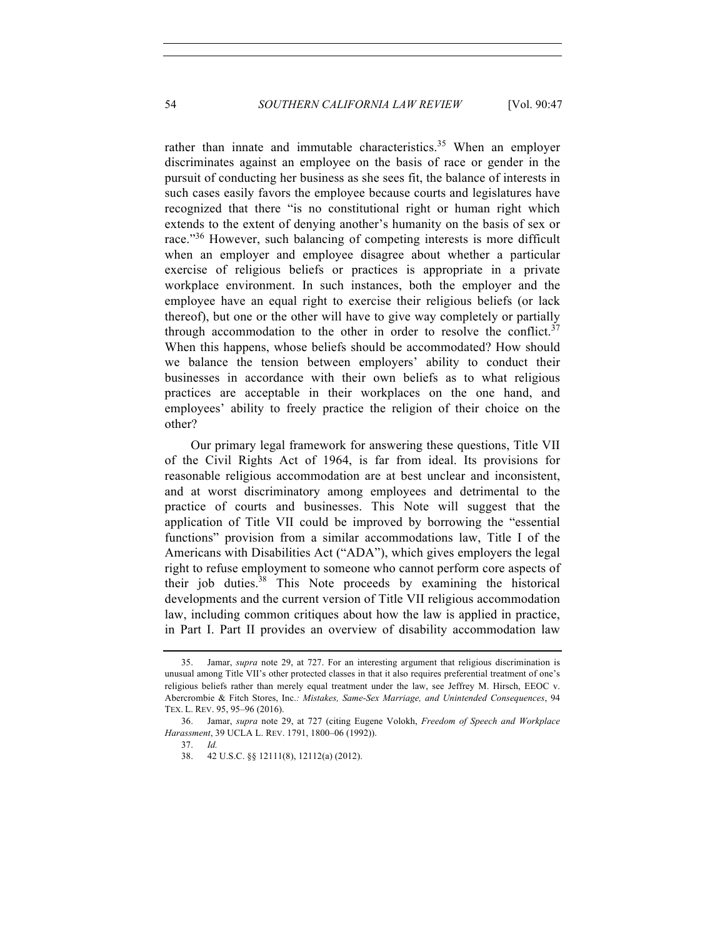rather than innate and immutable characteristics.<sup>35</sup> When an employer discriminates against an employee on the basis of race or gender in the pursuit of conducting her business as she sees fit, the balance of interests in such cases easily favors the employee because courts and legislatures have recognized that there "is no constitutional right or human right which extends to the extent of denying another's humanity on the basis of sex or race."<sup>36</sup> However, such balancing of competing interests is more difficult when an employer and employee disagree about whether a particular exercise of religious beliefs or practices is appropriate in a private workplace environment. In such instances, both the employer and the employee have an equal right to exercise their religious beliefs (or lack thereof), but one or the other will have to give way completely or partially through accommodation to the other in order to resolve the conflict.<sup>37</sup> When this happens, whose beliefs should be accommodated? How should we balance the tension between employers' ability to conduct their businesses in accordance with their own beliefs as to what religious practices are acceptable in their workplaces on the one hand, and employees' ability to freely practice the religion of their choice on the other?

Our primary legal framework for answering these questions, Title VII of the Civil Rights Act of 1964, is far from ideal. Its provisions for reasonable religious accommodation are at best unclear and inconsistent, and at worst discriminatory among employees and detrimental to the practice of courts and businesses. This Note will suggest that the application of Title VII could be improved by borrowing the "essential functions" provision from a similar accommodations law, Title I of the Americans with Disabilities Act ("ADA"), which gives employers the legal right to refuse employment to someone who cannot perform core aspects of their job duties.  $38$  This Note proceeds by examining the historical developments and the current version of Title VII religious accommodation law, including common critiques about how the law is applied in practice, in Part I. Part II provides an overview of disability accommodation law

37. *Id.*

<sup>35.</sup> Jamar, *supra* note 29, at 727. For an interesting argument that religious discrimination is unusual among Title VII's other protected classes in that it also requires preferential treatment of one's religious beliefs rather than merely equal treatment under the law, see Jeffrey M. Hirsch, EEOC v. Abercrombie & Fitch Stores, Inc.*: Mistakes, Same-Sex Marriage, and Unintended Consequences*, 94 TEX. L. REV. 95, 95–96 (2016).

<sup>36.</sup> Jamar, *supra* note 29, at 727 (citing Eugene Volokh, *Freedom of Speech and Workplace Harassment*, 39 UCLA L. REV. 1791, 1800–06 (1992)).

 <sup>38.</sup> 42 U.S.C. §§ 12111(8), 12112(a) (2012).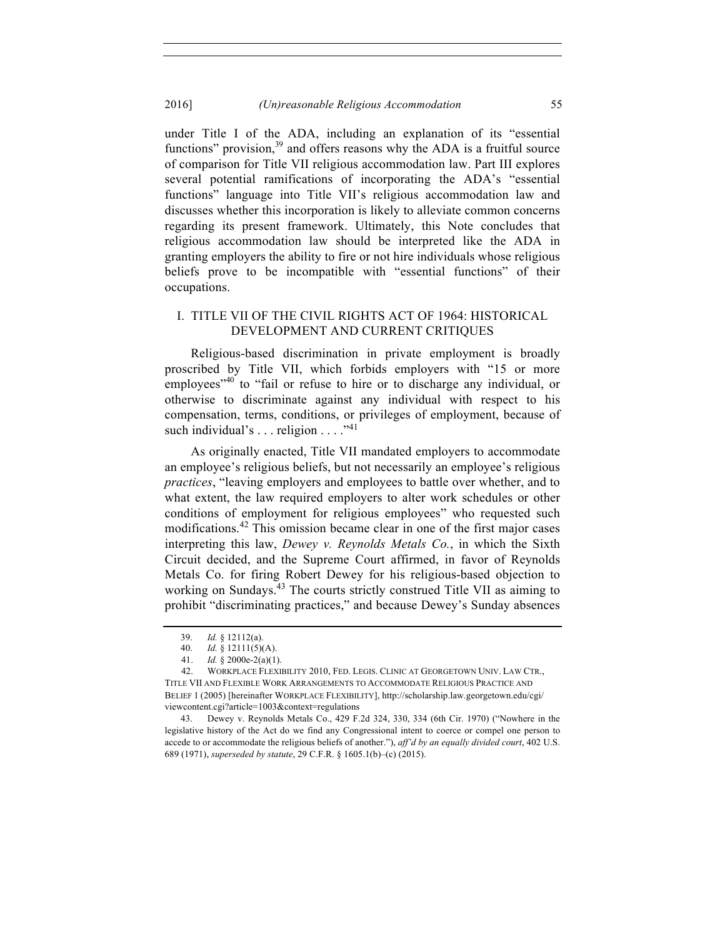under Title I of the ADA, including an explanation of its "essential functions" provision,  $39$  and offers reasons why the ADA is a fruitful source of comparison for Title VII religious accommodation law. Part III explores several potential ramifications of incorporating the ADA's "essential functions" language into Title VII's religious accommodation law and discusses whether this incorporation is likely to alleviate common concerns regarding its present framework. Ultimately, this Note concludes that religious accommodation law should be interpreted like the ADA in granting employers the ability to fire or not hire individuals whose religious beliefs prove to be incompatible with "essential functions" of their occupations.

#### I. TITLE VII OF THE CIVIL RIGHTS ACT OF 1964: HISTORICAL DEVELOPMENT AND CURRENT CRITIQUES

Religious-based discrimination in private employment is broadly proscribed by Title VII, which forbids employers with "15 or more employees<sup>"40</sup> to "fail or refuse to hire or to discharge any individual, or otherwise to discriminate against any individual with respect to his compensation, terms, conditions, or privileges of employment, because of such individual's  $\dots$  religion  $\dots$ .  $\cdot$ <sup>41</sup>

As originally enacted, Title VII mandated employers to accommodate an employee's religious beliefs, but not necessarily an employee's religious *practices*, "leaving employers and employees to battle over whether, and to what extent, the law required employers to alter work schedules or other conditions of employment for religious employees" who requested such modifications.<sup>42</sup> This omission became clear in one of the first major cases interpreting this law, *Dewey v. Reynolds Metals Co.*, in which the Sixth Circuit decided, and the Supreme Court affirmed, in favor of Reynolds Metals Co. for firing Robert Dewey for his religious-based objection to working on Sundays.<sup>43</sup> The courts strictly construed Title VII as aiming to prohibit "discriminating practices," and because Dewey's Sunday absences

<sup>39.</sup> *Id.* § 12112(a).

<sup>40.</sup> *Id.* § 12111(5)(A).

<sup>41.</sup> *Id.* § 2000e-2(a)(1).

<sup>42.</sup> WORKPLACE FLEXIBILITY 2010, FED. LEGIS. CLINIC AT GEORGETOWN UNIV. LAW CTR., TITLE VII AND FLEXIBLE WORK ARRANGEMENTS TO ACCOMMODATE RELIGIOUS PRACTICE AND BELIEF 1 (2005) [hereinafter WORKPLACE FLEXIBILITY], http://scholarship.law.georgetown.edu/cgi/ viewcontent.cgi?article=1003&context=regulations

<sup>43.</sup> Dewey v. Reynolds Metals Co., 429 F.2d 324, 330, 334 (6th Cir. 1970) ("Nowhere in the legislative history of the Act do we find any Congressional intent to coerce or compel one person to accede to or accommodate the religious beliefs of another."), *aff'd by an equally divided court*, 402 U.S. 689 (1971), *superseded by statute*, 29 C.F.R. § 1605.1(b)–(c) (2015).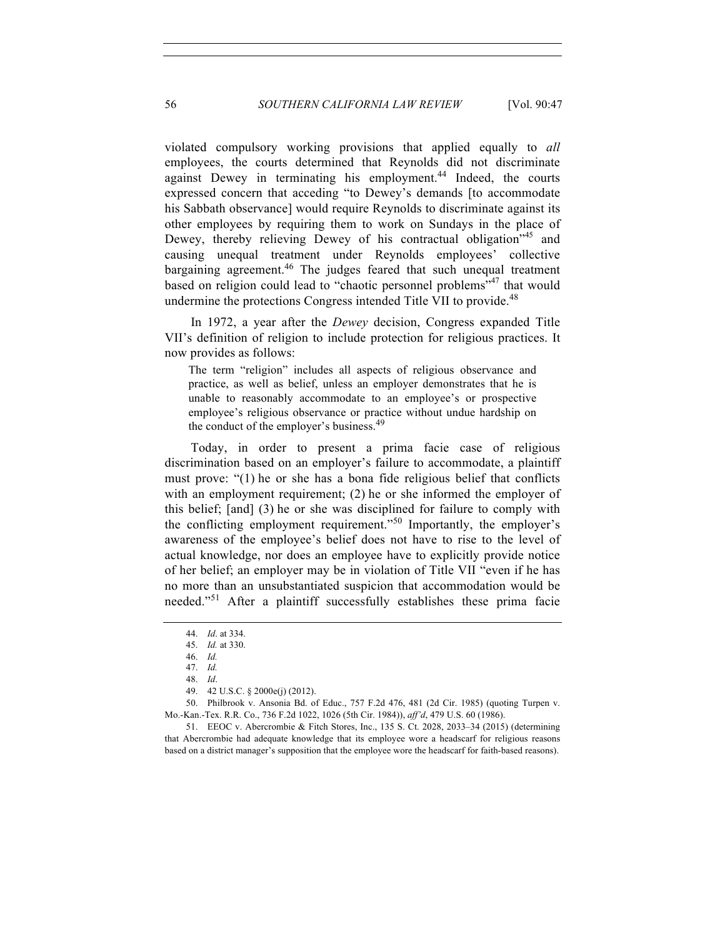violated compulsory working provisions that applied equally to *all* employees, the courts determined that Reynolds did not discriminate against Dewey in terminating his employment.<sup>44</sup> Indeed, the courts expressed concern that acceding "to Dewey's demands [to accommodate his Sabbath observance] would require Reynolds to discriminate against its other employees by requiring them to work on Sundays in the place of Dewey, thereby relieving Dewey of his contractual obligation<sup>745</sup> and causing unequal treatment under Reynolds employees' collective bargaining agreement.<sup>46</sup> The judges feared that such unequal treatment based on religion could lead to "chaotic personnel problems"<sup>47</sup> that would undermine the protections Congress intended Title VII to provide.<sup>48</sup>

In 1972, a year after the *Dewey* decision, Congress expanded Title VII's definition of religion to include protection for religious practices. It now provides as follows:

The term "religion" includes all aspects of religious observance and practice, as well as belief, unless an employer demonstrates that he is unable to reasonably accommodate to an employee's or prospective employee's religious observance or practice without undue hardship on the conduct of the employer's business.<sup>49</sup>

Today, in order to present a prima facie case of religious discrimination based on an employer's failure to accommodate, a plaintiff must prove: "(1) he or she has a bona fide religious belief that conflicts with an employment requirement; (2) he or she informed the employer of this belief; [and] (3) he or she was disciplined for failure to comply with the conflicting employment requirement."<sup>50</sup> Importantly, the employer's awareness of the employee's belief does not have to rise to the level of actual knowledge, nor does an employee have to explicitly provide notice of her belief; an employer may be in violation of Title VII "even if he has no more than an unsubstantiated suspicion that accommodation would be needed."<sup>51</sup> After a plaintiff successfully establishes these prima facie

 51. EEOC v. Abercrombie & Fitch Stores, Inc., 135 S. Ct. 2028, 2033–34 (2015) (determining that Abercrombie had adequate knowledge that its employee wore a headscarf for religious reasons based on a district manager's supposition that the employee wore the headscarf for faith-based reasons).

<sup>44.</sup> *Id*. at 334.

<sup>45.</sup> *Id.* at 330.

<sup>46.</sup> *Id.*

<sup>47.</sup> *Id.* 48. *Id*.

<sup>49.</sup> 42 U.S.C. § 2000e(j) (2012).

<sup>50.</sup> Philbrook v. Ansonia Bd. of Educ., 757 F.2d 476, 481 (2d Cir. 1985) (quoting Turpen v. Mo.-Kan.-Tex. R.R. Co., 736 F.2d 1022, 1026 (5th Cir. 1984)), *aff'd*, 479 U.S. 60 (1986).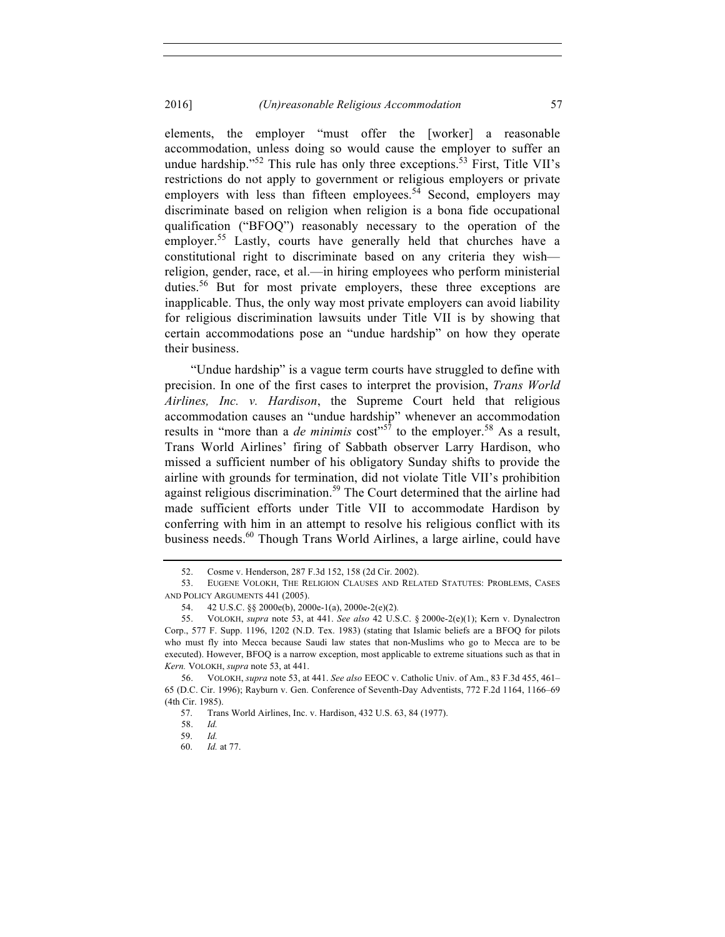elements, the employer "must offer the [worker] a reasonable accommodation, unless doing so would cause the employer to suffer an undue hardship."<sup>52</sup> This rule has only three exceptions.<sup>53</sup> First, Title VII's restrictions do not apply to government or religious employers or private employers with less than fifteen employees.<sup>54</sup> Second, employers may discriminate based on religion when religion is a bona fide occupational qualification ("BFOQ") reasonably necessary to the operation of the employer.<sup>55</sup> Lastly, courts have generally held that churches have a constitutional right to discriminate based on any criteria they wish religion, gender, race, et al.—in hiring employees who perform ministerial duties.<sup>56</sup> But for most private employers, these three exceptions are inapplicable. Thus, the only way most private employers can avoid liability for religious discrimination lawsuits under Title VII is by showing that certain accommodations pose an "undue hardship" on how they operate their business.

"Undue hardship" is a vague term courts have struggled to define with precision. In one of the first cases to interpret the provision, *Trans World Airlines, Inc. v. Hardison*, the Supreme Court held that religious accommodation causes an "undue hardship" whenever an accommodation results in "more than a *de minimis* cost"<sup>57</sup> to the employer.<sup>58</sup> As a result, Trans World Airlines' firing of Sabbath observer Larry Hardison, who missed a sufficient number of his obligatory Sunday shifts to provide the airline with grounds for termination, did not violate Title VII's prohibition against religious discrimination.<sup>59</sup> The Court determined that the airline had made sufficient efforts under Title VII to accommodate Hardison by conferring with him in an attempt to resolve his religious conflict with its business needs.<sup>60</sup> Though Trans World Airlines, a large airline, could have

<sup>52.</sup> Cosme v. Henderson, 287 F.3d 152, 158 (2d Cir. 2002).

<sup>53.</sup> EUGENE VOLOKH, THE RELIGION CLAUSES AND RELATED STATUTES: PROBLEMS, CASES AND POLICY ARGUMENTS 441 (2005).

<sup>54.</sup> 42 U.S.C. §§ 2000e(b), 2000e-1(a), 2000e-2(e)(2)*.*

<sup>55.</sup> VOLOKH, *supra* note 53, at 441. *See also* 42 U.S.C. § 2000e-2(e)(1); Kern v. Dynalectron Corp., 577 F. Supp. 1196, 1202 (N.D. Tex. 1983) (stating that Islamic beliefs are a BFOQ for pilots who must fly into Mecca because Saudi law states that non-Muslims who go to Mecca are to be executed). However, BFOQ is a narrow exception, most applicable to extreme situations such as that in *Kern.* VOLOKH, *supra* note 53, at 441.

<sup>56.</sup> VOLOKH, *supra* note 53, at 441. *See also* EEOC v. Catholic Univ. of Am., 83 F.3d 455, 461– 65 (D.C. Cir. 1996); Rayburn v. Gen. Conference of Seventh-Day Adventists, 772 F.2d 1164, 1166–69 (4th Cir. 1985).

<sup>57.</sup> Trans World Airlines, Inc. v. Hardison, 432 U.S. 63, 84 (1977).

<sup>58.</sup> *Id.*

<sup>59.</sup> *Id.*

<sup>60.</sup> *Id.* at 77.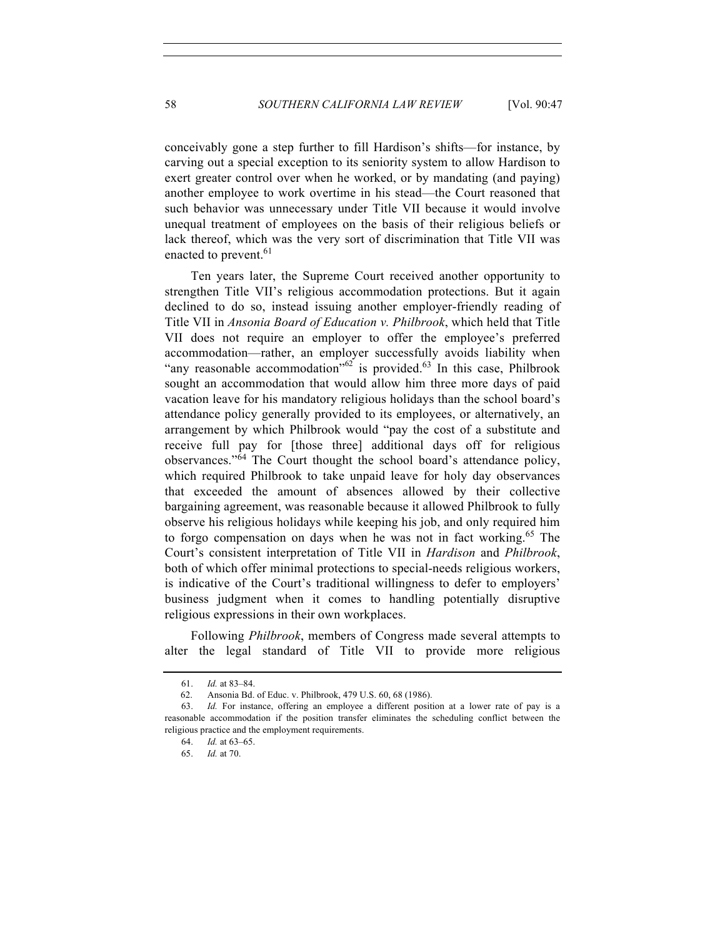conceivably gone a step further to fill Hardison's shifts—for instance, by carving out a special exception to its seniority system to allow Hardison to exert greater control over when he worked, or by mandating (and paying) another employee to work overtime in his stead—the Court reasoned that such behavior was unnecessary under Title VII because it would involve unequal treatment of employees on the basis of their religious beliefs or lack thereof, which was the very sort of discrimination that Title VII was enacted to prevent.<sup>61</sup>

Ten years later, the Supreme Court received another opportunity to strengthen Title VII's religious accommodation protections. But it again declined to do so, instead issuing another employer-friendly reading of Title VII in *Ansonia Board of Education v. Philbrook*, which held that Title VII does not require an employer to offer the employee's preferred accommodation—rather, an employer successfully avoids liability when "any reasonable accommodation"<sup>62</sup> is provided.<sup>63</sup> In this case, Philbrook sought an accommodation that would allow him three more days of paid vacation leave for his mandatory religious holidays than the school board's attendance policy generally provided to its employees, or alternatively, an arrangement by which Philbrook would "pay the cost of a substitute and receive full pay for [those three] additional days off for religious observances."<sup>64</sup> The Court thought the school board's attendance policy, which required Philbrook to take unpaid leave for holy day observances that exceeded the amount of absences allowed by their collective bargaining agreement, was reasonable because it allowed Philbrook to fully observe his religious holidays while keeping his job, and only required him to forgo compensation on days when he was not in fact working.<sup>65</sup> The Court's consistent interpretation of Title VII in *Hardison* and *Philbrook*, both of which offer minimal protections to special-needs religious workers, is indicative of the Court's traditional willingness to defer to employers' business judgment when it comes to handling potentially disruptive religious expressions in their own workplaces.

Following *Philbrook*, members of Congress made several attempts to alter the legal standard of Title VII to provide more religious

<sup>61.</sup> *Id.* at 83–84.

<sup>62.</sup> Ansonia Bd. of Educ. v. Philbrook, 479 U.S. 60, 68 (1986).

<sup>63.</sup> *Id.* For instance, offering an employee a different position at a lower rate of pay is a reasonable accommodation if the position transfer eliminates the scheduling conflict between the religious practice and the employment requirements.

<sup>64.</sup> *Id.* at 63–65.

<sup>65.</sup> *Id.* at 70.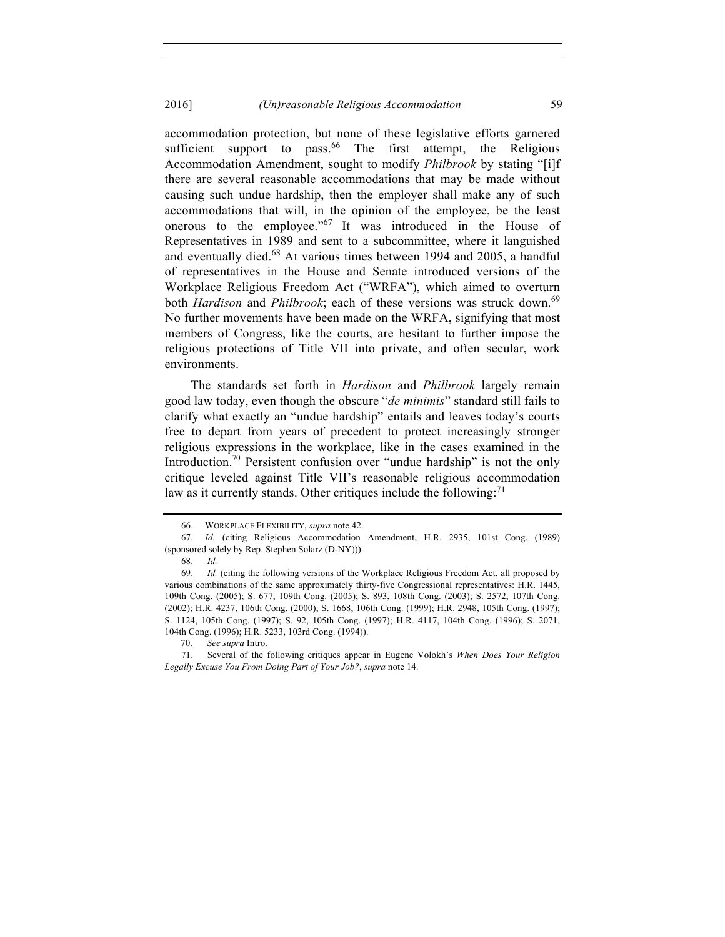#### 2016] *(Un)reasonable Religious Accommodation* 59

accommodation protection, but none of these legislative efforts garnered sufficient support to pass.<sup>66</sup> The first attempt, the Religious Accommodation Amendment, sought to modify *Philbrook* by stating "[i]f there are several reasonable accommodations that may be made without causing such undue hardship, then the employer shall make any of such accommodations that will, in the opinion of the employee, be the least onerous to the employee."<sup>67</sup> It was introduced in the House of Representatives in 1989 and sent to a subcommittee, where it languished and eventually died.<sup>68</sup> At various times between 1994 and 2005, a handful of representatives in the House and Senate introduced versions of the Workplace Religious Freedom Act ("WRFA"), which aimed to overturn both *Hardison* and *Philbrook*; each of these versions was struck down.<sup>69</sup> No further movements have been made on the WRFA, signifying that most members of Congress, like the courts, are hesitant to further impose the religious protections of Title VII into private, and often secular, work environments.

The standards set forth in *Hardison* and *Philbrook* largely remain good law today, even though the obscure "*de minimis*" standard still fails to clarify what exactly an "undue hardship" entails and leaves today's courts free to depart from years of precedent to protect increasingly stronger religious expressions in the workplace, like in the cases examined in the Introduction.<sup>70</sup> Persistent confusion over "undue hardship" is not the only critique leveled against Title VII's reasonable religious accommodation law as it currently stands. Other critiques include the following: $71$ 

<sup>66.</sup> WORKPLACE FLEXIBILITY, *supra* note 42.

<sup>67.</sup> *Id.* (citing Religious Accommodation Amendment, H.R. 2935, 101st Cong. (1989) (sponsored solely by Rep. Stephen Solarz (D-NY))).

<sup>68.</sup> *Id.*

<sup>69.</sup> *Id.* (citing the following versions of the Workplace Religious Freedom Act, all proposed by various combinations of the same approximately thirty-five Congressional representatives: H.R. 1445, 109th Cong. (2005); S. 677, 109th Cong. (2005); S. 893, 108th Cong. (2003); S. 2572, 107th Cong. (2002); H.R. 4237, 106th Cong. (2000); S. 1668, 106th Cong. (1999); H.R. 2948, 105th Cong. (1997); S. 1124, 105th Cong. (1997); S. 92, 105th Cong. (1997); H.R. 4117, 104th Cong. (1996); S. 2071, 104th Cong. (1996); H.R. 5233, 103rd Cong. (1994)).

<sup>70.</sup> *See supra* Intro.

<sup>71.</sup> Several of the following critiques appear in Eugene Volokh's *When Does Your Religion Legally Excuse You From Doing Part of Your Job?*, *supra* note 14.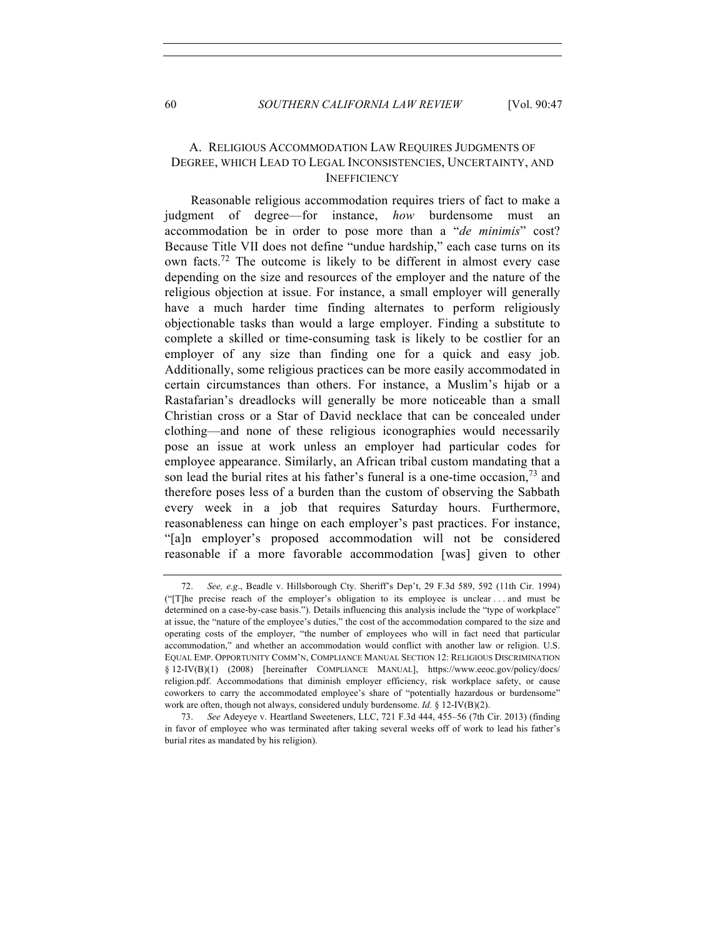#### A. RELIGIOUS ACCOMMODATION LAW REQUIRES JUDGMENTS OF DEGREE, WHICH LEAD TO LEGAL INCONSISTENCIES, UNCERTAINTY, AND **INEFFICIENCY**

Reasonable religious accommodation requires triers of fact to make a judgment of degree—for instance, *how* burdensome must an accommodation be in order to pose more than a "*de minimis*" cost? Because Title VII does not define "undue hardship," each case turns on its own facts.72 The outcome is likely to be different in almost every case depending on the size and resources of the employer and the nature of the religious objection at issue. For instance, a small employer will generally have a much harder time finding alternates to perform religiously objectionable tasks than would a large employer. Finding a substitute to complete a skilled or time-consuming task is likely to be costlier for an employer of any size than finding one for a quick and easy job. Additionally, some religious practices can be more easily accommodated in certain circumstances than others. For instance, a Muslim's hijab or a Rastafarian's dreadlocks will generally be more noticeable than a small Christian cross or a Star of David necklace that can be concealed under clothing—and none of these religious iconographies would necessarily pose an issue at work unless an employer had particular codes for employee appearance. Similarly, an African tribal custom mandating that a son lead the burial rites at his father's funeral is a one-time occasion,  $^{73}$  and therefore poses less of a burden than the custom of observing the Sabbath every week in a job that requires Saturday hours. Furthermore, reasonableness can hinge on each employer's past practices. For instance, "[a]n employer's proposed accommodation will not be considered reasonable if a more favorable accommodation [was] given to other

<sup>72.</sup> *See, e.g*., Beadle v. Hillsborough Cty. Sheriff's Dep't, 29 F.3d 589, 592 (11th Cir. 1994) ("[T]he precise reach of the employer's obligation to its employee is unclear . . . and must be determined on a case-by-case basis."). Details influencing this analysis include the "type of workplace" at issue, the "nature of the employee's duties," the cost of the accommodation compared to the size and operating costs of the employer, "the number of employees who will in fact need that particular accommodation," and whether an accommodation would conflict with another law or religion. U.S. EQUAL EMP. OPPORTUNITY COMM'N, COMPLIANCE MANUAL SECTION 12: RELIGIOUS DISCRIMINATION § 12-IV(B)(1) (2008) [hereinafter COMPLIANCE MANUAL], https://www.eeoc.gov/policy/docs/ religion.pdf. Accommodations that diminish employer efficiency, risk workplace safety, or cause coworkers to carry the accommodated employee's share of "potentially hazardous or burdensome" work are often, though not always, considered unduly burdensome. *Id.* § 12-IV(B)(2).

<sup>73.</sup> *See* Adeyeye v. Heartland Sweeteners, LLC, 721 F.3d 444, 455–56 (7th Cir. 2013) (finding in favor of employee who was terminated after taking several weeks off of work to lead his father's burial rites as mandated by his religion).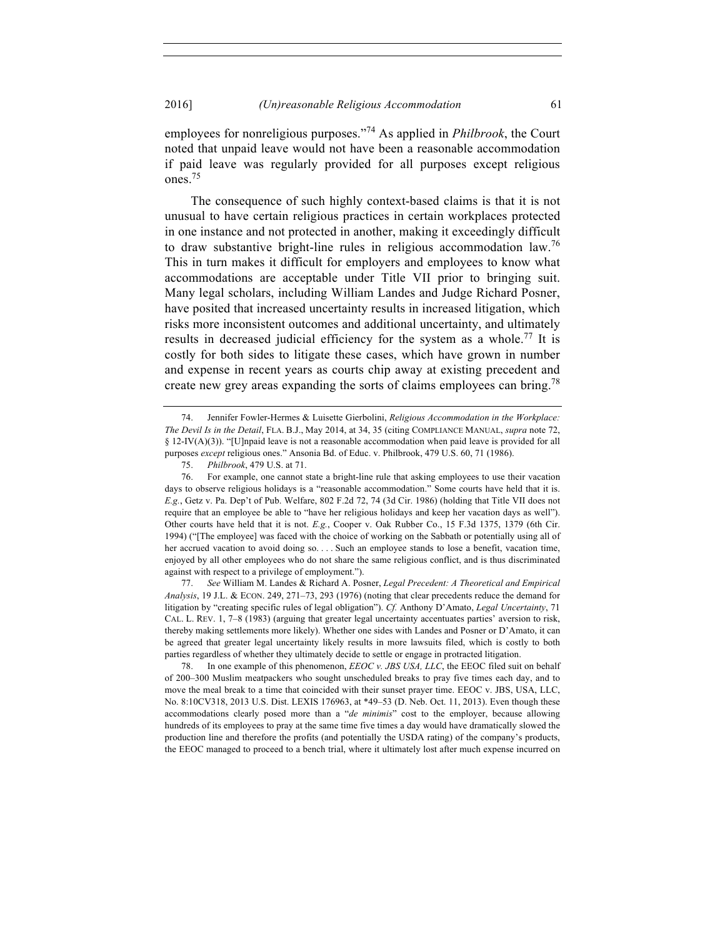employees for nonreligious purposes."<sup>74</sup> As applied in *Philbrook*, the Court noted that unpaid leave would not have been a reasonable accommodation if paid leave was regularly provided for all purposes except religious ones.75

The consequence of such highly context-based claims is that it is not unusual to have certain religious practices in certain workplaces protected in one instance and not protected in another, making it exceedingly difficult to draw substantive bright-line rules in religious accommodation law.<sup>76</sup> This in turn makes it difficult for employers and employees to know what accommodations are acceptable under Title VII prior to bringing suit. Many legal scholars, including William Landes and Judge Richard Posner, have posited that increased uncertainty results in increased litigation, which risks more inconsistent outcomes and additional uncertainty, and ultimately results in decreased judicial efficiency for the system as a whole.<sup>77</sup> It is costly for both sides to litigate these cases, which have grown in number and expense in recent years as courts chip away at existing precedent and create new grey areas expanding the sorts of claims employees can bring.<sup>78</sup>

77. *See* William M. Landes & Richard A. Posner, *Legal Precedent: A Theoretical and Empirical Analysis*, 19 J.L. & ECON. 249, 271–73, 293 (1976) (noting that clear precedents reduce the demand for litigation by "creating specific rules of legal obligation"). *Cf.* Anthony D'Amato, *Legal Uncertainty*, 71 CAL. L. REV. 1, 7–8 (1983) (arguing that greater legal uncertainty accentuates parties' aversion to risk, thereby making settlements more likely). Whether one sides with Landes and Posner or D'Amato, it can be agreed that greater legal uncertainty likely results in more lawsuits filed, which is costly to both parties regardless of whether they ultimately decide to settle or engage in protracted litigation.

78. In one example of this phenomenon, *EEOC v. JBS USA, LLC*, the EEOC filed suit on behalf of 200–300 Muslim meatpackers who sought unscheduled breaks to pray five times each day, and to move the meal break to a time that coincided with their sunset prayer time. EEOC v. JBS, USA, LLC, No. 8:10CV318, 2013 U.S. Dist. LEXIS 176963, at \*49–53 (D. Neb. Oct. 11, 2013). Even though these accommodations clearly posed more than a "*de minimis*" cost to the employer, because allowing hundreds of its employees to pray at the same time five times a day would have dramatically slowed the production line and therefore the profits (and potentially the USDA rating) of the company's products, the EEOC managed to proceed to a bench trial, where it ultimately lost after much expense incurred on

<sup>74.</sup> Jennifer Fowler-Hermes & Luisette Gierbolini, *Religious Accommodation in the Workplace: The Devil Is in the Detail*, FLA. B.J., May 2014, at 34, 35 (citing COMPLIANCE MANUAL, *supra* note 72, § 12-IV(A)(3)). "[U]npaid leave is not a reasonable accommodation when paid leave is provided for all purposes *except* religious ones." Ansonia Bd. of Educ. v. Philbrook, 479 U.S. 60, 71 (1986).

<sup>75.</sup> *Philbrook*, 479 U.S. at 71.

<sup>76.</sup> For example, one cannot state a bright-line rule that asking employees to use their vacation days to observe religious holidays is a "reasonable accommodation." Some courts have held that it is. *E.g.*, Getz v. Pa. Dep't of Pub. Welfare, 802 F.2d 72, 74 (3d Cir. 1986) (holding that Title VII does not require that an employee be able to "have her religious holidays and keep her vacation days as well"). Other courts have held that it is not. *E.g.*, Cooper v. Oak Rubber Co., 15 F.3d 1375, 1379 (6th Cir. 1994) ("[The employee] was faced with the choice of working on the Sabbath or potentially using all of her accrued vacation to avoid doing so. . . . Such an employee stands to lose a benefit, vacation time, enjoyed by all other employees who do not share the same religious conflict, and is thus discriminated against with respect to a privilege of employment.").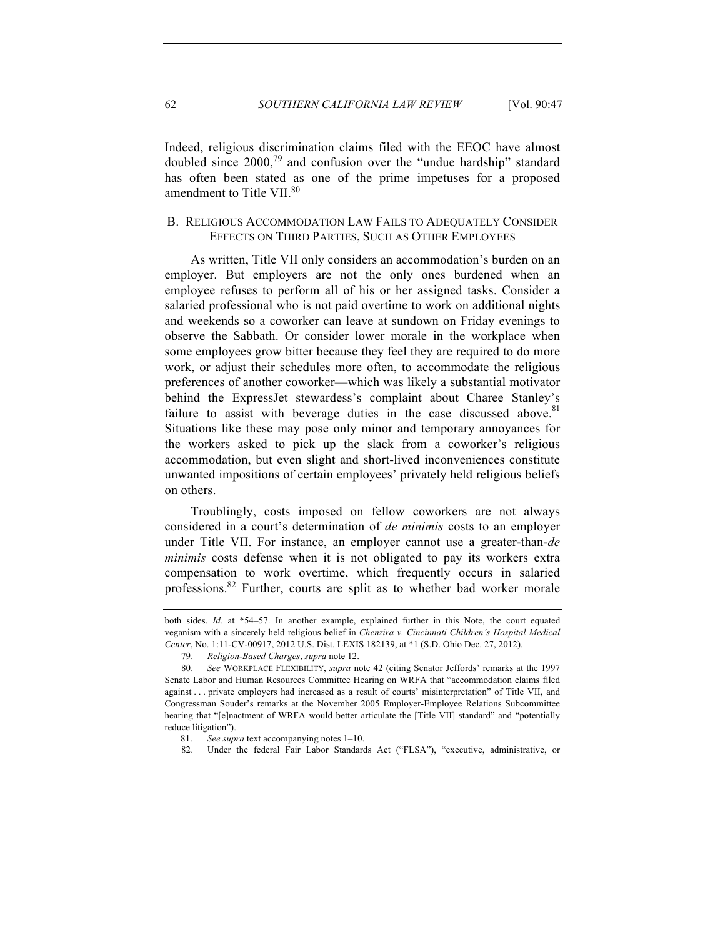Indeed, religious discrimination claims filed with the EEOC have almost doubled since 2000,<sup>79</sup> and confusion over the "undue hardship" standard has often been stated as one of the prime impetuses for a proposed amendment to Title VII.<sup>80</sup>

## B. RELIGIOUS ACCOMMODATION LAW FAILS TO ADEQUATELY CONSIDER EFFECTS ON THIRD PARTIES, SUCH AS OTHER EMPLOYEES

As written, Title VII only considers an accommodation's burden on an employer. But employers are not the only ones burdened when an employee refuses to perform all of his or her assigned tasks. Consider a salaried professional who is not paid overtime to work on additional nights and weekends so a coworker can leave at sundown on Friday evenings to observe the Sabbath. Or consider lower morale in the workplace when some employees grow bitter because they feel they are required to do more work, or adjust their schedules more often, to accommodate the religious preferences of another coworker—which was likely a substantial motivator behind the ExpressJet stewardess's complaint about Charee Stanley's failure to assist with beverage duties in the case discussed above.<sup>81</sup> Situations like these may pose only minor and temporary annoyances for the workers asked to pick up the slack from a coworker's religious accommodation, but even slight and short-lived inconveniences constitute unwanted impositions of certain employees' privately held religious beliefs on others.

Troublingly, costs imposed on fellow coworkers are not always considered in a court's determination of *de minimis* costs to an employer under Title VII. For instance, an employer cannot use a greater-than-*de minimis* costs defense when it is not obligated to pay its workers extra compensation to work overtime, which frequently occurs in salaried professions.82 Further, courts are split as to whether bad worker morale

both sides. *Id.* at \*54–57. In another example, explained further in this Note, the court equated veganism with a sincerely held religious belief in *Chenzira v. Cincinnati Children's Hospital Medical Center*, No. 1:11-CV-00917, 2012 U.S. Dist. LEXIS 182139, at \*1 (S.D. Ohio Dec. 27, 2012).

<sup>79.</sup> *Religion-Based Charges*, *supra* note 12.

<sup>80.</sup> *See* WORKPLACE FLEXIBILITY, *supra* note 42 (citing Senator Jeffords' remarks at the 1997 Senate Labor and Human Resources Committee Hearing on WRFA that "accommodation claims filed against . . . private employers had increased as a result of courts' misinterpretation" of Title VII, and Congressman Souder's remarks at the November 2005 Employer-Employee Relations Subcommittee hearing that "[e]nactment of WRFA would better articulate the [Title VII] standard" and "potentially reduce litigation").

<sup>81.</sup> *See supra* text accompanying notes 1–10.

<sup>82.</sup> Under the federal Fair Labor Standards Act ("FLSA"), "executive, administrative, or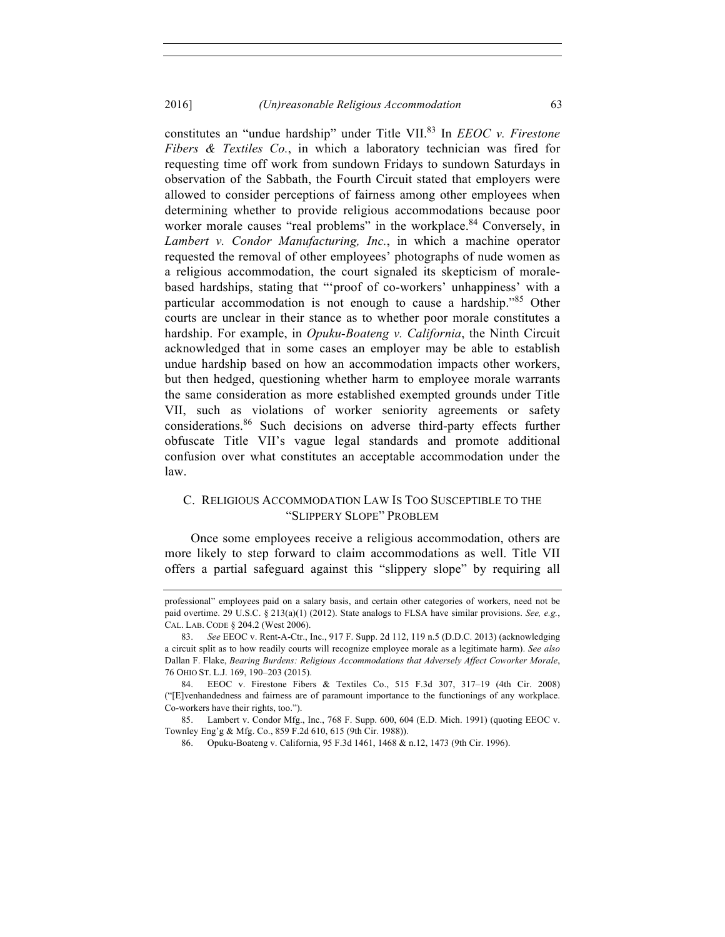constitutes an "undue hardship" under Title VII.83 In *EEOC v. Firestone Fibers & Textiles Co.*, in which a laboratory technician was fired for requesting time off work from sundown Fridays to sundown Saturdays in observation of the Sabbath, the Fourth Circuit stated that employers were allowed to consider perceptions of fairness among other employees when determining whether to provide religious accommodations because poor worker morale causes "real problems" in the workplace.<sup>84</sup> Conversely, in *Lambert v. Condor Manufacturing, Inc.*, in which a machine operator requested the removal of other employees' photographs of nude women as a religious accommodation, the court signaled its skepticism of moralebased hardships, stating that "'proof of co-workers' unhappiness' with a particular accommodation is not enough to cause a hardship."<sup>85</sup> Other courts are unclear in their stance as to whether poor morale constitutes a hardship. For example, in *Opuku-Boateng v. California*, the Ninth Circuit acknowledged that in some cases an employer may be able to establish undue hardship based on how an accommodation impacts other workers, but then hedged, questioning whether harm to employee morale warrants the same consideration as more established exempted grounds under Title VII, such as violations of worker seniority agreements or safety considerations.<sup>86</sup> Such decisions on adverse third-party effects further obfuscate Title VII's vague legal standards and promote additional confusion over what constitutes an acceptable accommodation under the law.

#### C. RELIGIOUS ACCOMMODATION LAW IS TOO SUSCEPTIBLE TO THE "SLIPPERY SLOPE" PROBLEM

Once some employees receive a religious accommodation, others are more likely to step forward to claim accommodations as well. Title VII offers a partial safeguard against this "slippery slope" by requiring all

professional" employees paid on a salary basis, and certain other categories of workers, need not be paid overtime. 29 U.S.C. § 213(a)(1) (2012). State analogs to FLSA have similar provisions. *See, e.g.*, CAL. LAB. CODE § 204.2 (West 2006).

<sup>83.</sup> *See* EEOC v. Rent-A-Ctr., Inc., 917 F. Supp. 2d 112, 119 n.5 (D.D.C. 2013) (acknowledging a circuit split as to how readily courts will recognize employee morale as a legitimate harm). *See also*  Dallan F. Flake, *Bearing Burdens: Religious Accommodations that Adversely Affect Coworker Morale*, 76 OHIO ST. L.J. 169, 190–203 (2015).

<sup>84.</sup> EEOC v. Firestone Fibers & Textiles Co., 515 F.3d 307, 317–19 (4th Cir. 2008) ("[E]venhandedness and fairness are of paramount importance to the functionings of any workplace. Co-workers have their rights, too.").

<sup>85.</sup> Lambert v. Condor Mfg., Inc., 768 F. Supp. 600, 604 (E.D. Mich. 1991) (quoting EEOC v. Townley Eng'g & Mfg. Co., 859 F.2d 610, 615 (9th Cir. 1988)).

<sup>86.</sup> Opuku-Boateng v. California, 95 F.3d 1461, 1468 & n.12, 1473 (9th Cir. 1996).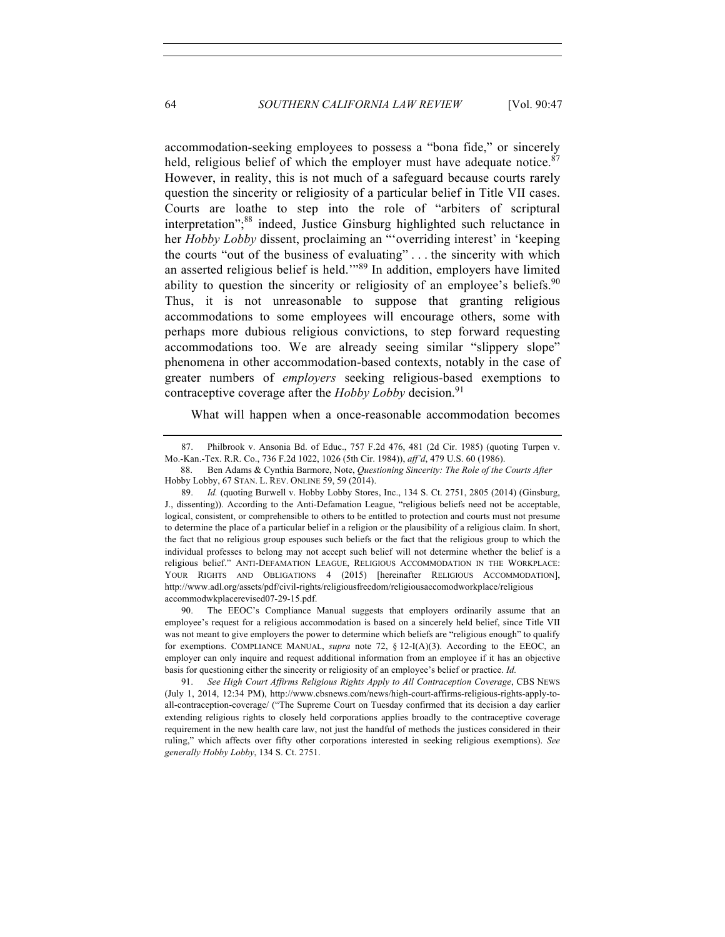accommodation-seeking employees to possess a "bona fide," or sincerely held, religious belief of which the employer must have adequate notice. $87$ However, in reality, this is not much of a safeguard because courts rarely question the sincerity or religiosity of a particular belief in Title VII cases. Courts are loathe to step into the role of "arbiters of scriptural interpretation"; <sup>88</sup> indeed, Justice Ginsburg highlighted such reluctance in her *Hobby Lobby* dissent, proclaiming an "'overriding interest' in 'keeping the courts "out of the business of evaluating" . . . the sincerity with which an asserted religious belief is held.'"<sup>89</sup> In addition, employers have limited ability to question the sincerity or religiosity of an employee's beliefs.<sup>90</sup> Thus, it is not unreasonable to suppose that granting religious accommodations to some employees will encourage others, some with perhaps more dubious religious convictions, to step forward requesting accommodations too. We are already seeing similar "slippery slope" phenomena in other accommodation-based contexts, notably in the case of greater numbers of *employers* seeking religious-based exemptions to contraceptive coverage after the *Hobby Lobby* decision.<sup>91</sup>

What will happen when a once-reasonable accommodation becomes

90. The EEOC's Compliance Manual suggests that employers ordinarily assume that an employee's request for a religious accommodation is based on a sincerely held belief, since Title VII was not meant to give employers the power to determine which beliefs are "religious enough" to qualify for exemptions. COMPLIANCE MANUAL, *supra* note 72, § 12-I(A)(3). According to the EEOC, an employer can only inquire and request additional information from an employee if it has an objective basis for questioning either the sincerity or religiosity of an employee's belief or practice. *Id.*

91. *See High Court Affirms Religious Rights Apply to All Contraception Coverage*, CBS NEWS (July 1, 2014, 12:34 PM), http://www.cbsnews.com/news/high-court-affirms-religious-rights-apply-toall-contraception-coverage/ ("The Supreme Court on Tuesday confirmed that its decision a day earlier extending religious rights to closely held corporations applies broadly to the contraceptive coverage requirement in the new health care law, not just the handful of methods the justices considered in their ruling," which affects over fifty other corporations interested in seeking religious exemptions). *See generally Hobby Lobby*, 134 S. Ct. 2751.

<sup>87.</sup> Philbrook v. Ansonia Bd. of Educ., 757 F.2d 476, 481 (2d Cir. 1985) (quoting Turpen v. Mo.-Kan.-Tex. R.R. Co., 736 F.2d 1022, 1026 (5th Cir. 1984)), *aff'd*, 479 U.S. 60 (1986).

<sup>88.</sup> Ben Adams & Cynthia Barmore, Note, *Questioning Sincerity: The Role of the Courts After*  Hobby Lobby, 67 STAN. L. REV. ONLINE 59, 59 (2014).

<sup>89.</sup> *Id.* (quoting Burwell v. Hobby Lobby Stores, Inc., 134 S. Ct. 2751, 2805 (2014) (Ginsburg, J., dissenting)). According to the Anti-Defamation League, "religious beliefs need not be acceptable, logical, consistent, or comprehensible to others to be entitled to protection and courts must not presume to determine the place of a particular belief in a religion or the plausibility of a religious claim. In short, the fact that no religious group espouses such beliefs or the fact that the religious group to which the individual professes to belong may not accept such belief will not determine whether the belief is a religious belief." ANTI-DEFAMATION LEAGUE, RELIGIOUS ACCOMMODATION IN THE WORKPLACE: YOUR RIGHTS AND OBLIGATIONS 4 (2015) [hereinafter RELIGIOUS ACCOMMODATION], http://www.adl.org/assets/pdf/civil-rights/religiousfreedom/religiousaccomodworkplace/religious accommodwkplacerevised07-29-15.pdf.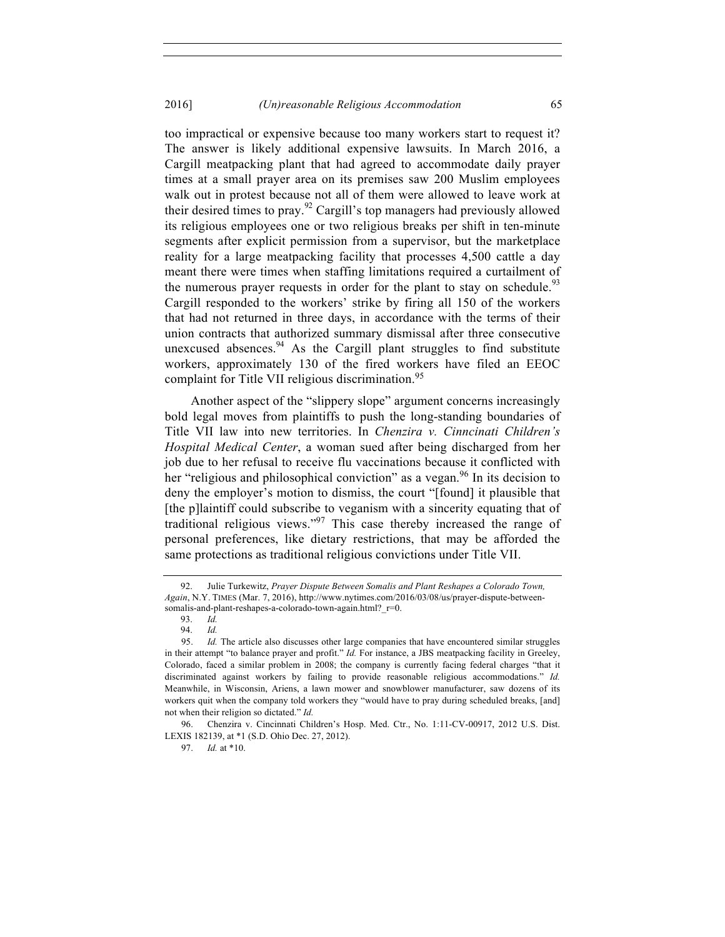too impractical or expensive because too many workers start to request it? The answer is likely additional expensive lawsuits. In March 2016, a Cargill meatpacking plant that had agreed to accommodate daily prayer times at a small prayer area on its premises saw 200 Muslim employees walk out in protest because not all of them were allowed to leave work at their desired times to pray.<sup>92</sup> Cargill's top managers had previously allowed its religious employees one or two religious breaks per shift in ten-minute segments after explicit permission from a supervisor, but the marketplace reality for a large meatpacking facility that processes 4,500 cattle a day meant there were times when staffing limitations required a curtailment of the numerous prayer requests in order for the plant to stay on schedule.<sup>93</sup> Cargill responded to the workers' strike by firing all 150 of the workers that had not returned in three days, in accordance with the terms of their union contracts that authorized summary dismissal after three consecutive unexcused absences. $94$  As the Cargill plant struggles to find substitute workers, approximately 130 of the fired workers have filed an EEOC complaint for Title VII religious discrimination.<sup>95</sup>

Another aspect of the "slippery slope" argument concerns increasingly bold legal moves from plaintiffs to push the long-standing boundaries of Title VII law into new territories. In *Chenzira v. Cinncinati Children's Hospital Medical Center*, a woman sued after being discharged from her job due to her refusal to receive flu vaccinations because it conflicted with her "religious and philosophical conviction" as a vegan.<sup>96</sup> In its decision to deny the employer's motion to dismiss, the court "[found] it plausible that [the p]laintiff could subscribe to veganism with a sincerity equating that of traditional religious views."<sup>97</sup> This case thereby increased the range of personal preferences, like dietary restrictions, that may be afforded the same protections as traditional religious convictions under Title VII.

97. *Id.* at \*10.

<sup>92.</sup> Julie Turkewitz, *Prayer Dispute Between Somalis and Plant Reshapes a Colorado Town, Again*, N.Y. TIMES (Mar. 7, 2016), http://www.nytimes.com/2016/03/08/us/prayer-dispute-betweensomalis-and-plant-reshapes-a-colorado-town-again.html?\_r=0.<br>93. Id.

<sup>93.</sup> *Id.*

<sup>94.</sup> *Id.*

<sup>95.</sup> *Id.* The article also discusses other large companies that have encountered similar struggles in their attempt "to balance prayer and profit." *Id.* For instance, a JBS meatpacking facility in Greeley, Colorado, faced a similar problem in 2008; the company is currently facing federal charges "that it discriminated against workers by failing to provide reasonable religious accommodations." *Id.* Meanwhile, in Wisconsin, Ariens, a lawn mower and snowblower manufacturer, saw dozens of its workers quit when the company told workers they "would have to pray during scheduled breaks, [and] not when their religion so dictated." *Id.*

<sup>96.</sup> Chenzira v. Cincinnati Children's Hosp. Med. Ctr., No. 1:11-CV-00917, 2012 U.S. Dist. LEXIS 182139, at \*1 (S.D. Ohio Dec. 27, 2012).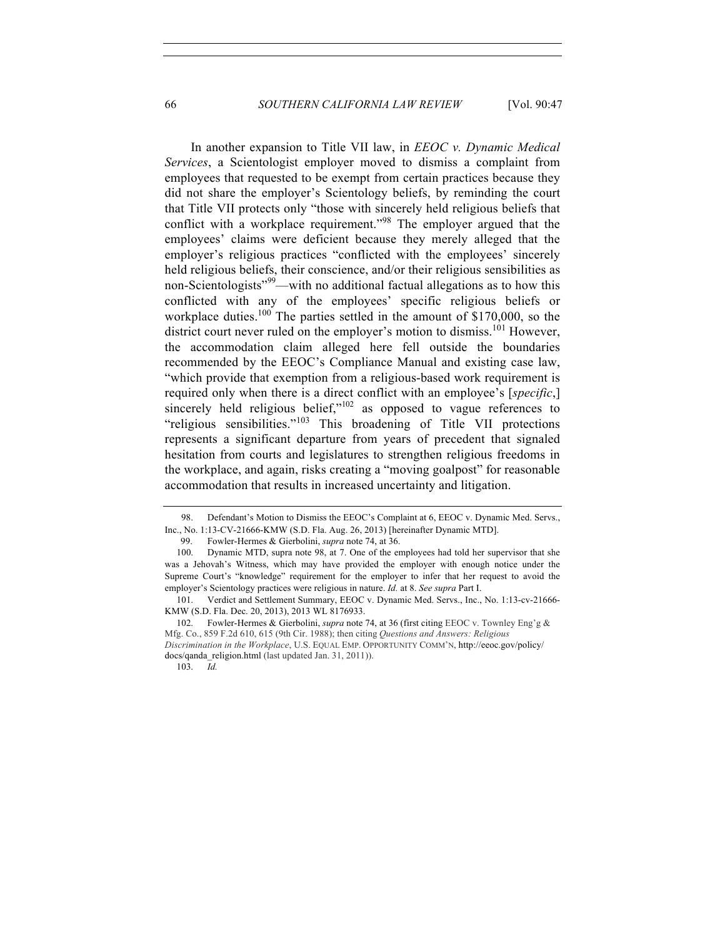In another expansion to Title VII law, in *EEOC v. Dynamic Medical Services*, a Scientologist employer moved to dismiss a complaint from employees that requested to be exempt from certain practices because they did not share the employer's Scientology beliefs, by reminding the court that Title VII protects only "those with sincerely held religious beliefs that conflict with a workplace requirement."<sup>98</sup> The employer argued that the employees' claims were deficient because they merely alleged that the employer's religious practices "conflicted with the employees' sincerely held religious beliefs, their conscience, and/or their religious sensibilities as non-Scientologists"<sup>99</sup>—with no additional factual allegations as to how this conflicted with any of the employees' specific religious beliefs or workplace duties.<sup>100</sup> The parties settled in the amount of \$170,000, so the district court never ruled on the employer's motion to dismiss.<sup>101</sup> However, the accommodation claim alleged here fell outside the boundaries recommended by the EEOC's Compliance Manual and existing case law, "which provide that exemption from a religious-based work requirement is required only when there is a direct conflict with an employee's [*specific*,] sincerely held religious belief,"<sup>102</sup> as opposed to vague references to "religious sensibilities."<sup>103</sup> This broadening of Title VII protections represents a significant departure from years of precedent that signaled hesitation from courts and legislatures to strengthen religious freedoms in the workplace, and again, risks creating a "moving goalpost" for reasonable accommodation that results in increased uncertainty and litigation.

103. *Id.*

<sup>98.</sup> Defendant's Motion to Dismiss the EEOC's Complaint at 6, EEOC v. Dynamic Med. Servs., Inc., No. 1:13-CV-21666-KMW (S.D. Fla. Aug. 26, 2013) [hereinafter Dynamic MTD].

<sup>99.</sup> Fowler-Hermes & Gierbolini, *supra* note 74, at 36.

 <sup>100.</sup> Dynamic MTD, supra note 98, at 7. One of the employees had told her supervisor that she was a Jehovah's Witness, which may have provided the employer with enough notice under the Supreme Court's "knowledge" requirement for the employer to infer that her request to avoid the employer's Scientology practices were religious in nature. *Id.* at 8. *See supra* Part I.

 <sup>101.</sup> Verdict and Settlement Summary, EEOC v. Dynamic Med. Servs., Inc., No. 1:13-cv-21666- KMW (S.D. Fla. Dec. 20, 2013), 2013 WL 8176933.

 <sup>102.</sup> Fowler-Hermes & Gierbolini, *supra* note 74, at 36 (first citing EEOC v. Townley Eng'g & Mfg. Co., 859 F.2d 610, 615 (9th Cir. 1988); then citing *Questions and Answers: Religious Discrimination in the Workplace*, U.S. EQUAL EMP. OPPORTUNITY COMM'N, http://eeoc.gov/policy/ docs/qanda\_religion.html (last updated Jan. 31, 2011)).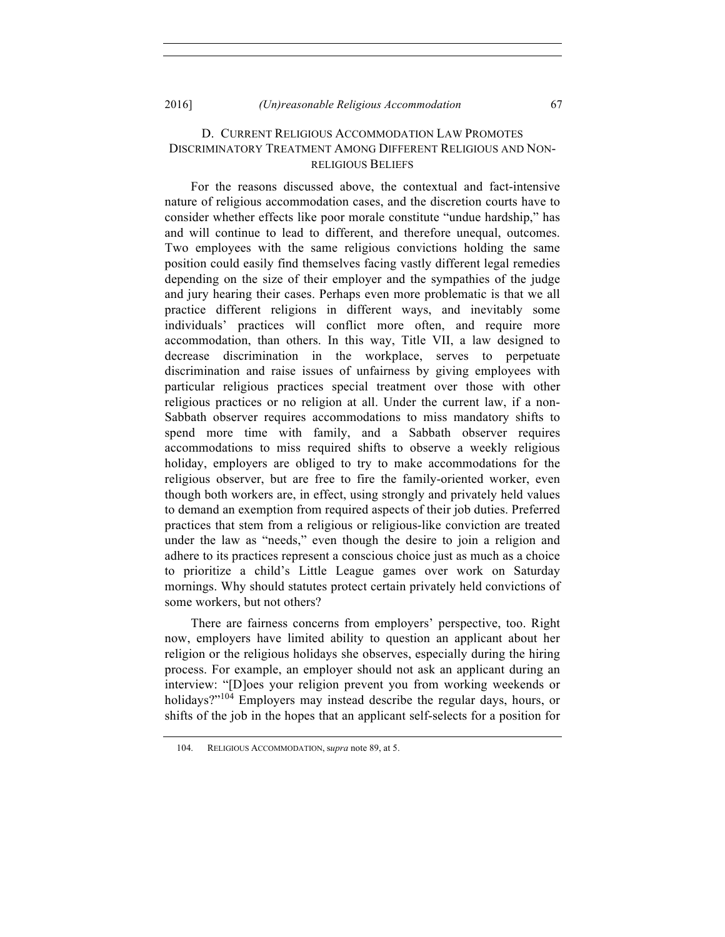#### D. CURRENT RELIGIOUS ACCOMMODATION LAW PROMOTES DISCRIMINATORY TREATMENT AMONG DIFFERENT RELIGIOUS AND NON-RELIGIOUS BELIEFS

For the reasons discussed above, the contextual and fact-intensive nature of religious accommodation cases, and the discretion courts have to consider whether effects like poor morale constitute "undue hardship," has and will continue to lead to different, and therefore unequal, outcomes. Two employees with the same religious convictions holding the same position could easily find themselves facing vastly different legal remedies depending on the size of their employer and the sympathies of the judge and jury hearing their cases. Perhaps even more problematic is that we all practice different religions in different ways, and inevitably some individuals' practices will conflict more often, and require more accommodation, than others. In this way, Title VII, a law designed to decrease discrimination in the workplace, serves to perpetuate discrimination and raise issues of unfairness by giving employees with particular religious practices special treatment over those with other religious practices or no religion at all. Under the current law, if a non-Sabbath observer requires accommodations to miss mandatory shifts to spend more time with family, and a Sabbath observer requires accommodations to miss required shifts to observe a weekly religious holiday, employers are obliged to try to make accommodations for the religious observer, but are free to fire the family-oriented worker, even though both workers are, in effect, using strongly and privately held values to demand an exemption from required aspects of their job duties. Preferred practices that stem from a religious or religious-like conviction are treated under the law as "needs," even though the desire to join a religion and adhere to its practices represent a conscious choice just as much as a choice to prioritize a child's Little League games over work on Saturday mornings. Why should statutes protect certain privately held convictions of some workers, but not others?

There are fairness concerns from employers' perspective, too. Right now, employers have limited ability to question an applicant about her religion or the religious holidays she observes, especially during the hiring process. For example, an employer should not ask an applicant during an interview: "[D]oes your religion prevent you from working weekends or holidays?"<sup>104</sup> Employers may instead describe the regular days, hours, or shifts of the job in the hopes that an applicant self-selects for a position for

<sup>104.</sup> RELIGIOUS ACCOMMODATION, s*upra* note 89, at 5.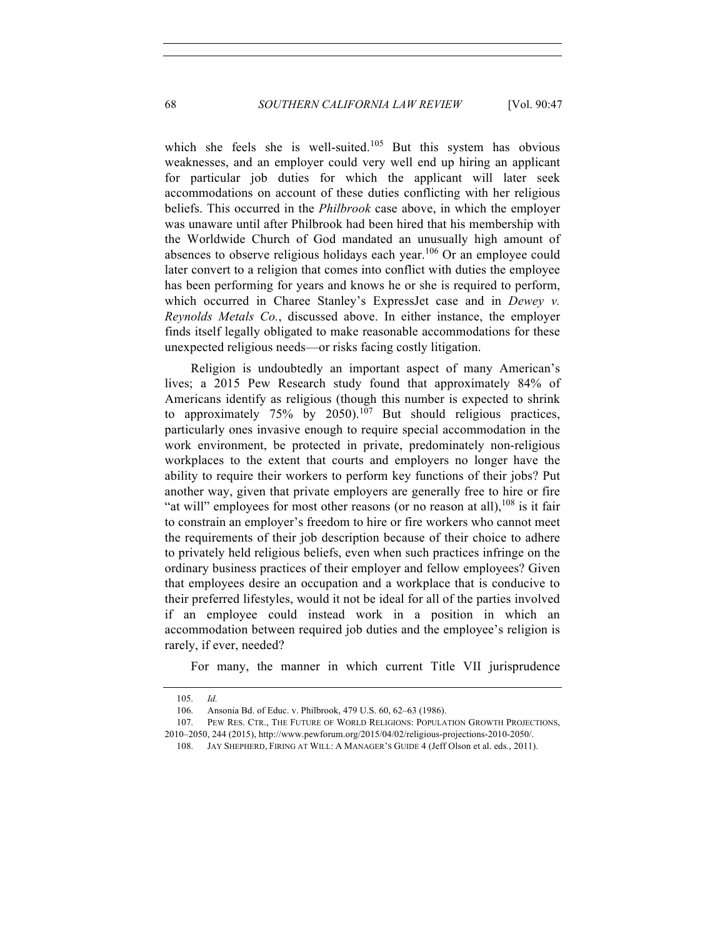which she feels she is well-suited.<sup>105</sup> But this system has obvious weaknesses, and an employer could very well end up hiring an applicant for particular job duties for which the applicant will later seek accommodations on account of these duties conflicting with her religious beliefs. This occurred in the *Philbrook* case above, in which the employer was unaware until after Philbrook had been hired that his membership with the Worldwide Church of God mandated an unusually high amount of absences to observe religious holidays each year.<sup>106</sup> Or an employee could later convert to a religion that comes into conflict with duties the employee has been performing for years and knows he or she is required to perform, which occurred in Charee Stanley's ExpressJet case and in *Dewey v. Reynolds Metals Co.*, discussed above. In either instance, the employer finds itself legally obligated to make reasonable accommodations for these unexpected religious needs—or risks facing costly litigation.

Religion is undoubtedly an important aspect of many American's lives; a 2015 Pew Research study found that approximately 84% of Americans identify as religious (though this number is expected to shrink to approximately 75% by 2050).<sup>107</sup> But should religious practices, particularly ones invasive enough to require special accommodation in the work environment, be protected in private, predominately non-religious workplaces to the extent that courts and employers no longer have the ability to require their workers to perform key functions of their jobs? Put another way, given that private employers are generally free to hire or fire "at will" employees for most other reasons (or no reason at all), $^{108}$  is it fair to constrain an employer's freedom to hire or fire workers who cannot meet the requirements of their job description because of their choice to adhere to privately held religious beliefs, even when such practices infringe on the ordinary business practices of their employer and fellow employees? Given that employees desire an occupation and a workplace that is conducive to their preferred lifestyles, would it not be ideal for all of the parties involved if an employee could instead work in a position in which an accommodation between required job duties and the employee's religion is rarely, if ever, needed?

For many, the manner in which current Title VII jurisprudence

<sup>105.</sup> *Id.*

<sup>106.</sup> Ansonia Bd. of Educ. v. Philbrook, 479 U.S. 60, 62–63 (1986).

<sup>107.</sup> PEW RES. CTR., THE FUTURE OF WORLD RELIGIONS: POPULATION GROWTH PROJECTIONS, 2010–2050, 244 (2015), http://www.pewforum.org/2015/04/02/religious-projections-2010-2050/.

<sup>108.</sup> JAY SHEPHERD, FIRING AT WILL: A MANAGER'S GUIDE 4 (Jeff Olson et al. eds., 2011).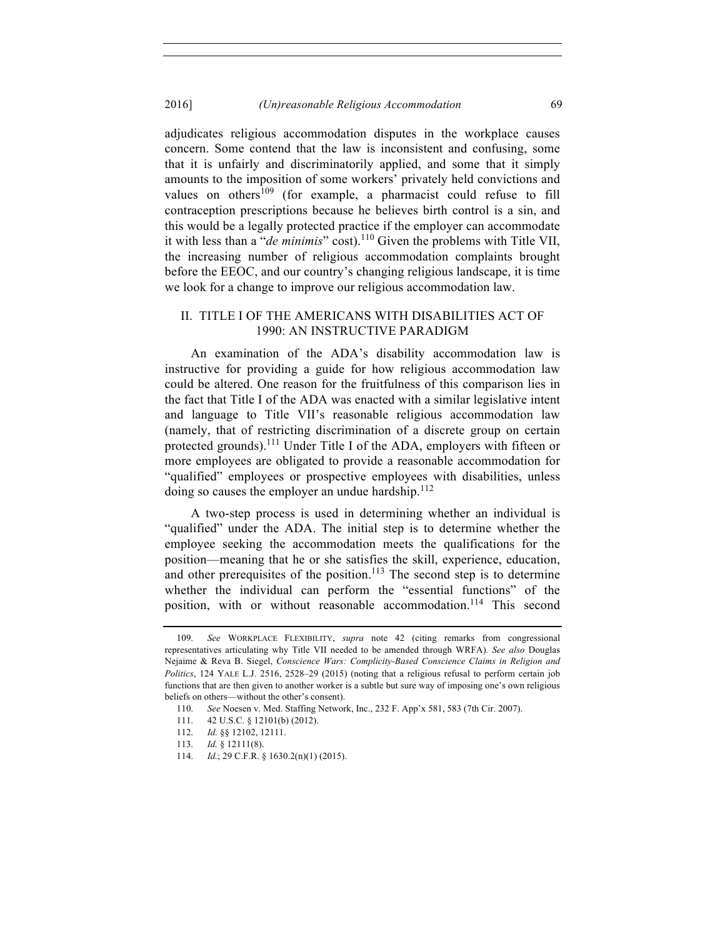adjudicates religious accommodation disputes in the workplace causes concern. Some contend that the law is inconsistent and confusing, some that it is unfairly and discriminatorily applied, and some that it simply amounts to the imposition of some workers' privately held convictions and values on others<sup>109</sup> (for example, a pharmacist could refuse to fill contraception prescriptions because he believes birth control is a sin, and this would be a legally protected practice if the employer can accommodate it with less than a "*de minimis*" cost).<sup>110</sup> Given the problems with Title VII, the increasing number of religious accommodation complaints brought before the EEOC, and our country's changing religious landscape, it is time we look for a change to improve our religious accommodation law.

#### II. TITLE I OF THE AMERICANS WITH DISABILITIES ACT OF 1990: AN INSTRUCTIVE PARADIGM

An examination of the ADA's disability accommodation law is instructive for providing a guide for how religious accommodation law could be altered. One reason for the fruitfulness of this comparison lies in the fact that Title I of the ADA was enacted with a similar legislative intent and language to Title VII's reasonable religious accommodation law (namely, that of restricting discrimination of a discrete group on certain protected grounds).111 Under Title I of the ADA, employers with fifteen or more employees are obligated to provide a reasonable accommodation for "qualified" employees or prospective employees with disabilities, unless doing so causes the employer an undue hardship. $^{112}$ 

A two-step process is used in determining whether an individual is "qualified" under the ADA. The initial step is to determine whether the employee seeking the accommodation meets the qualifications for the position—meaning that he or she satisfies the skill, experience, education, and other prerequisites of the position.<sup>113</sup> The second step is to determine whether the individual can perform the "essential functions" of the position, with or without reasonable accommodation.<sup>114</sup> This second

<sup>109.</sup> *See* WORKPLACE FLEXIBILITY, *supra* note 42 (citing remarks from congressional representatives articulating why Title VII needed to be amended through WRFA)*. See also* Douglas Nejaime & Reva B. Siegel, *Conscience Wars: Complicity-Based Conscience Claims in Religion and Politics*, 124 YALE L.J. 2516, 2528–29 (2015) (noting that a religious refusal to perform certain job functions that are then given to another worker is a subtle but sure way of imposing one's own religious beliefs on others—without the other's consent).

<sup>110.</sup> *See* Noesen v. Med. Staffing Network, Inc., 232 F. App'x 581, 583 (7th Cir. 2007).

<sup>111.</sup> 42 U.S.C. § 12101(b) (2012).

<sup>112.</sup> *Id.* §§ 12102, 12111.

<sup>113.</sup> *Id.* § 12111(8).

<sup>114.</sup> *Id.*; 29 C.F.R. § 1630.2(n)(1) (2015).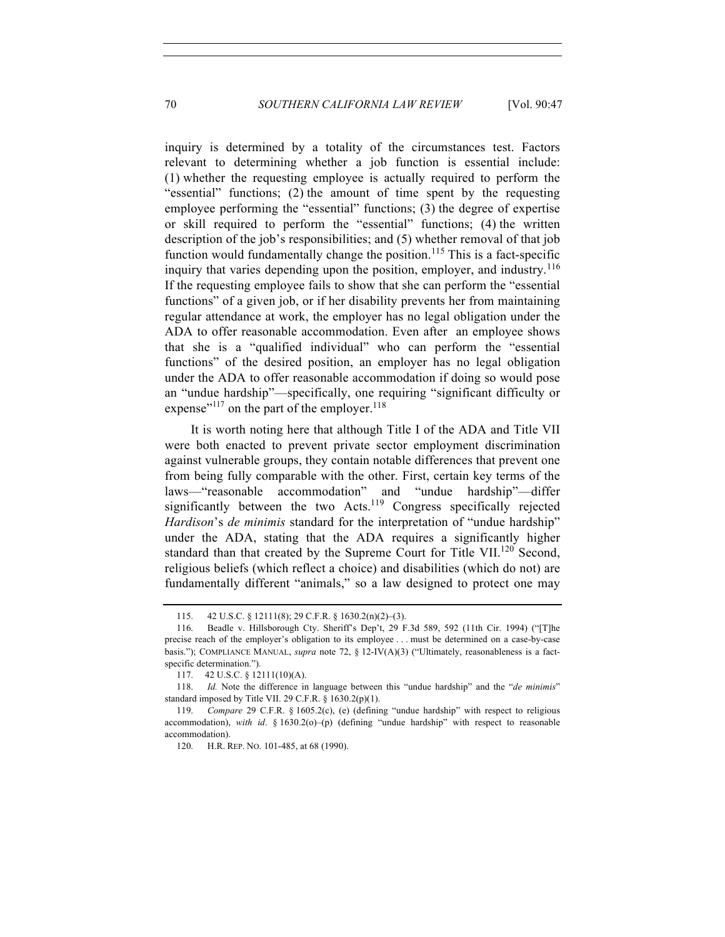inquiry is determined by a totality of the circumstances test. Factors relevant to determining whether a job function is essential include: (1) whether the requesting employee is actually required to perform the "essential" functions; (2) the amount of time spent by the requesting employee performing the "essential" functions; (3) the degree of expertise or skill required to perform the "essential" functions; (4) the written description of the job's responsibilities; and (5) whether removal of that job function would fundamentally change the position.<sup>115</sup> This is a fact-specific inquiry that varies depending upon the position, employer, and industry.<sup>116</sup> If the requesting employee fails to show that she can perform the "essential functions" of a given job, or if her disability prevents her from maintaining regular attendance at work, the employer has no legal obligation under the ADA to offer reasonable accommodation. Even after an employee shows that she is a "qualified individual" who can perform the "essential functions" of the desired position, an employer has no legal obligation under the ADA to offer reasonable accommodation if doing so would pose an "undue hardship"—specifically, one requiring "significant difficulty or expense"<sup>117</sup> on the part of the employer.<sup>118</sup>

It is worth noting here that although Title I of the ADA and Title VII were both enacted to prevent private sector employment discrimination against vulnerable groups, they contain notable differences that prevent one from being fully comparable with the other. First, certain key terms of the laws—"reasonable accommodation" and "undue hardship"—differ significantly between the two Acts.<sup>119</sup> Congress specifically rejected *Hardison*'s *de minimis* standard for the interpretation of "undue hardship" under the ADA, stating that the ADA requires a significantly higher standard than that created by the Supreme Court for Title VII.<sup>120</sup> Second, religious beliefs (which reflect a choice) and disabilities (which do not) are fundamentally different "animals," so a law designed to protect one may

<sup>115.</sup> 42 U.S.C. § 12111(8); 29 C.F.R. § 1630.2(n)(2)–(3).

<sup>116.</sup> Beadle v. Hillsborough Cty. Sheriff's Dep't, 29 F.3d 589, 592 (11th Cir. 1994) ("[T]he precise reach of the employer's obligation to its employee . . . must be determined on a case-by-case basis."); COMPLIANCE MANUAL, *supra* note 72, § 12-IV(A)(3) ("Ultimately, reasonableness is a factspecific determination.").

<sup>117.</sup> 42 U.S.C. § 12111(10)(A).

<sup>118.</sup> *Id.* Note the difference in language between this "undue hardship" and the "*de minimis*" standard imposed by Title VII. 29 C.F.R.  $\S$  1630.2(p)(1).

<sup>119.</sup> *Compare* 29 C.F.R. § 1605.2(c), (e) (defining "undue hardship" with respect to religious accommodation), *with id*. § 1630.2(o)–(p) (defining "undue hardship" with respect to reasonable accommodation).

<sup>120.</sup> H.R. REP. NO. 101-485, at 68 (1990).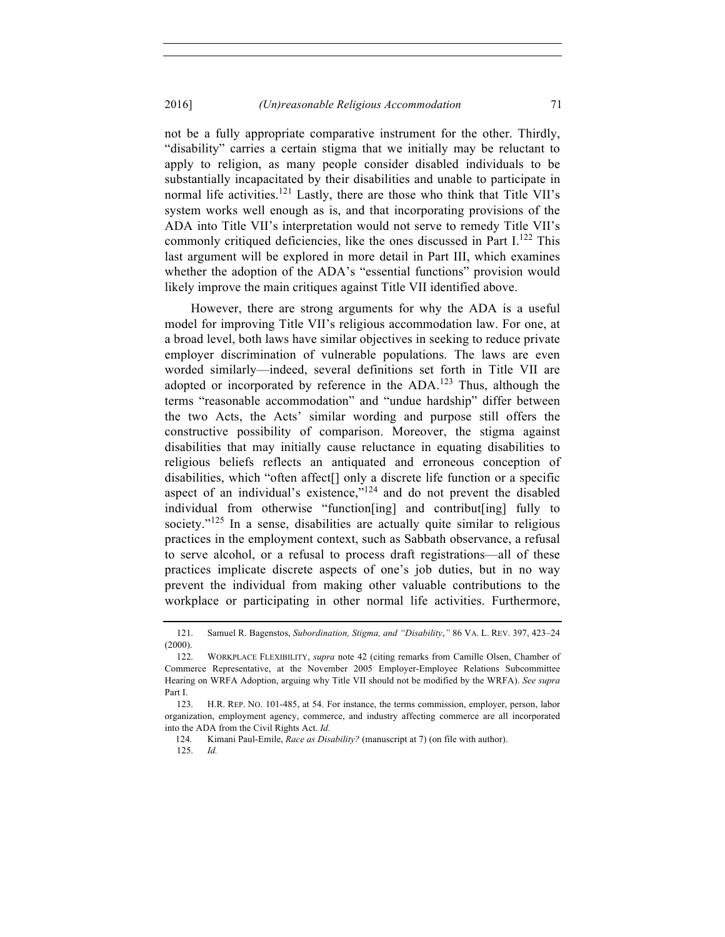not be a fully appropriate comparative instrument for the other. Thirdly, "disability" carries a certain stigma that we initially may be reluctant to apply to religion, as many people consider disabled individuals to be substantially incapacitated by their disabilities and unable to participate in normal life activities.<sup>121</sup> Lastly, there are those who think that Title VII's system works well enough as is, and that incorporating provisions of the ADA into Title VII's interpretation would not serve to remedy Title VII's commonly critiqued deficiencies, like the ones discussed in Part  $I^{122}$  This last argument will be explored in more detail in Part III, which examines whether the adoption of the ADA's "essential functions" provision would likely improve the main critiques against Title VII identified above.

However, there are strong arguments for why the ADA is a useful model for improving Title VII's religious accommodation law. For one, at a broad level, both laws have similar objectives in seeking to reduce private employer discrimination of vulnerable populations. The laws are even worded similarly—indeed, several definitions set forth in Title VII are adopted or incorporated by reference in the ADA.<sup>123</sup> Thus, although the terms "reasonable accommodation" and "undue hardship" differ between the two Acts, the Acts' similar wording and purpose still offers the constructive possibility of comparison. Moreover, the stigma against disabilities that may initially cause reluctance in equating disabilities to religious beliefs reflects an antiquated and erroneous conception of disabilities, which "often affect[] only a discrete life function or a specific aspect of an individual's existence,"<sup>124</sup> and do not prevent the disabled individual from otherwise "function[ing] and contribut[ing] fully to society." $125$  In a sense, disabilities are actually quite similar to religious practices in the employment context, such as Sabbath observance, a refusal to serve alcohol, or a refusal to process draft registrations—all of these practices implicate discrete aspects of one's job duties, but in no way prevent the individual from making other valuable contributions to the workplace or participating in other normal life activities. Furthermore,

<sup>121.</sup> Samuel R. Bagenstos, *Subordination, Stigma, and "Disability*,*"* 86 VA. L. REV. 397, 423–24  $(2000).$ 

<sup>122.</sup> WORKPLACE FLEXIBILITY, *supra* note 42 (citing remarks from Camille Olsen, Chamber of Commerce Representative, at the November 2005 Employer-Employee Relations Subcommittee Hearing on WRFA Adoption, arguing why Title VII should not be modified by the WRFA). *See supra* Part I.

<sup>123.</sup> H.R. REP. NO. 101-485, at 54. For instance, the terms commission, employer, person, labor organization, employment agency, commerce, and industry affecting commerce are all incorporated into the ADA from the Civil Rights Act. *Id.*

<sup>124.</sup> Kimani Paul-Emile, *Race as Disability?* (manuscript at 7) (on file with author).

<sup>125.</sup> *Id.*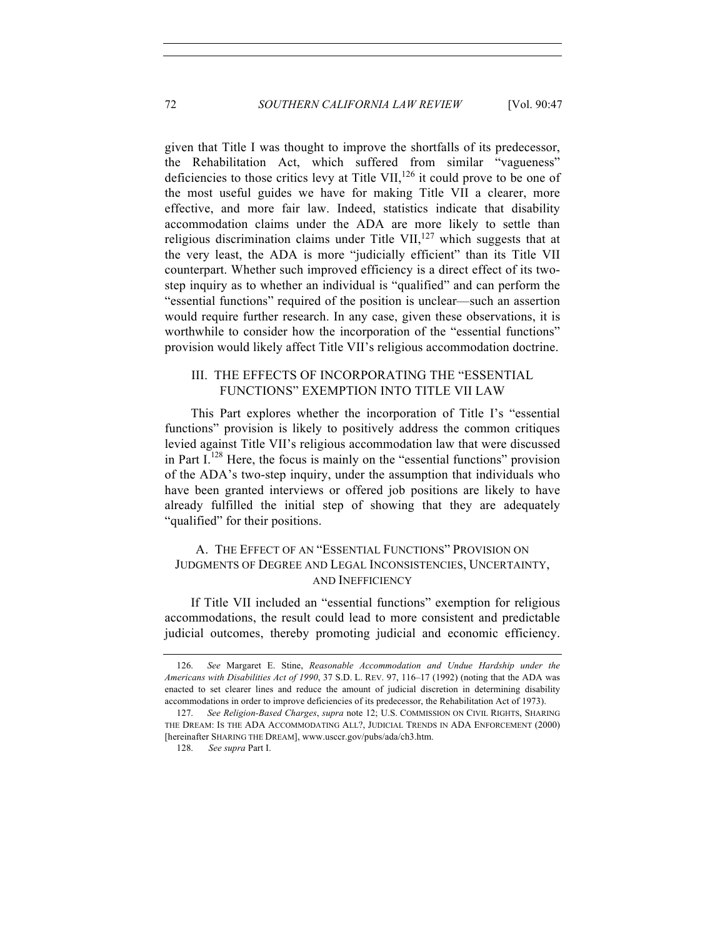given that Title I was thought to improve the shortfalls of its predecessor, the Rehabilitation Act, which suffered from similar "vagueness" deficiencies to those critics levy at Title VII,  $^{126}$  it could prove to be one of the most useful guides we have for making Title VII a clearer, more effective, and more fair law. Indeed, statistics indicate that disability accommodation claims under the ADA are more likely to settle than religious discrimination claims under Title VII, $^{127}$  which suggests that at the very least, the ADA is more "judicially efficient" than its Title VII counterpart. Whether such improved efficiency is a direct effect of its twostep inquiry as to whether an individual is "qualified" and can perform the "essential functions" required of the position is unclear—such an assertion would require further research. In any case, given these observations, it is worthwhile to consider how the incorporation of the "essential functions" provision would likely affect Title VII's religious accommodation doctrine.

## III. THE EFFECTS OF INCORPORATING THE "ESSENTIAL FUNCTIONS" EXEMPTION INTO TITLE VII LAW

This Part explores whether the incorporation of Title I's "essential functions" provision is likely to positively address the common critiques levied against Title VII's religious accommodation law that were discussed in Part  $I<sup>128</sup>$  Here, the focus is mainly on the "essential functions" provision of the ADA's two-step inquiry, under the assumption that individuals who have been granted interviews or offered job positions are likely to have already fulfilled the initial step of showing that they are adequately "qualified" for their positions.

## A. THE EFFECT OF AN "ESSENTIAL FUNCTIONS" PROVISION ON JUDGMENTS OF DEGREE AND LEGAL INCONSISTENCIES, UNCERTAINTY, AND INEFFICIENCY

If Title VII included an "essential functions" exemption for religious accommodations, the result could lead to more consistent and predictable judicial outcomes, thereby promoting judicial and economic efficiency.

 <sup>126.</sup> *See* Margaret E. Stine, *Reasonable Accommodation and Undue Hardship under the Americans with Disabilities Act of 1990*, 37 S.D. L. REV. 97, 116–17 (1992) (noting that the ADA was enacted to set clearer lines and reduce the amount of judicial discretion in determining disability accommodations in order to improve deficiencies of its predecessor, the Rehabilitation Act of 1973).

 <sup>127.</sup> *See Religion-Based Charges*, *supra* note 12; U.S. COMMISSION ON CIVIL RIGHTS, SHARING THE DREAM: IS THE ADA ACCOMMODATING ALL?, JUDICIAL TRENDS IN ADA ENFORCEMENT (2000) [hereinafter SHARING THE DREAM], www.usccr.gov/pubs/ada/ch3.htm.

 <sup>128.</sup> *See supra* Part I.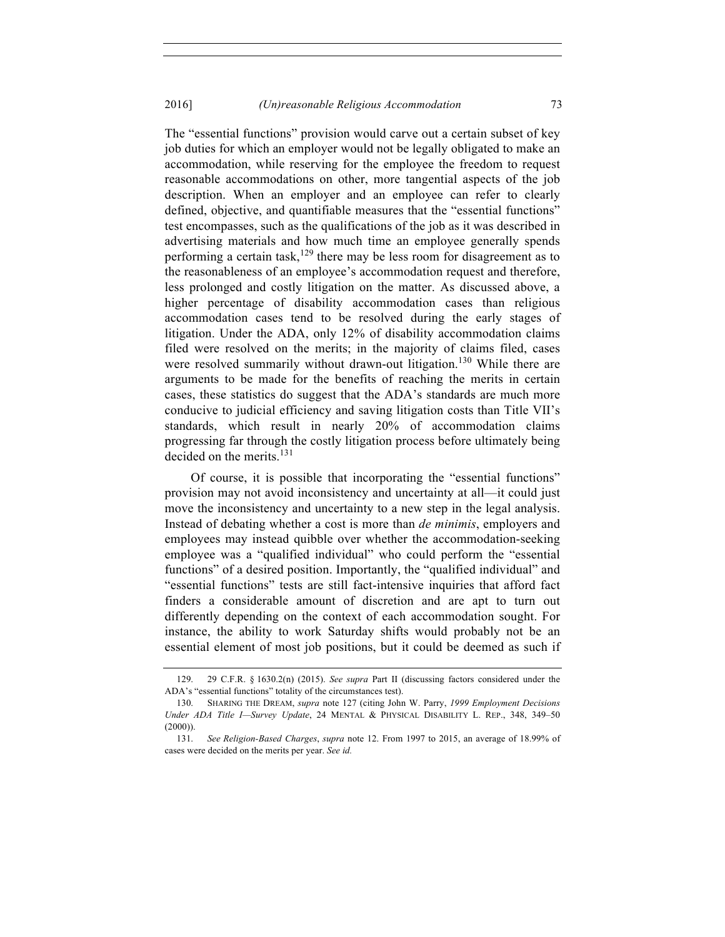The "essential functions" provision would carve out a certain subset of key job duties for which an employer would not be legally obligated to make an accommodation, while reserving for the employee the freedom to request reasonable accommodations on other, more tangential aspects of the job description. When an employer and an employee can refer to clearly defined, objective, and quantifiable measures that the "essential functions" test encompasses, such as the qualifications of the job as it was described in advertising materials and how much time an employee generally spends performing a certain task,<sup>129</sup> there may be less room for disagreement as to the reasonableness of an employee's accommodation request and therefore, less prolonged and costly litigation on the matter. As discussed above, a higher percentage of disability accommodation cases than religious accommodation cases tend to be resolved during the early stages of litigation. Under the ADA, only 12% of disability accommodation claims filed were resolved on the merits; in the majority of claims filed, cases were resolved summarily without drawn-out litigation.<sup>130</sup> While there are arguments to be made for the benefits of reaching the merits in certain cases, these statistics do suggest that the ADA's standards are much more conducive to judicial efficiency and saving litigation costs than Title VII's standards, which result in nearly 20% of accommodation claims progressing far through the costly litigation process before ultimately being decided on the merits.<sup>131</sup>

Of course, it is possible that incorporating the "essential functions" provision may not avoid inconsistency and uncertainty at all—it could just move the inconsistency and uncertainty to a new step in the legal analysis. Instead of debating whether a cost is more than *de minimis*, employers and employees may instead quibble over whether the accommodation-seeking employee was a "qualified individual" who could perform the "essential functions" of a desired position. Importantly, the "qualified individual" and "essential functions" tests are still fact-intensive inquiries that afford fact finders a considerable amount of discretion and are apt to turn out differently depending on the context of each accommodation sought. For instance, the ability to work Saturday shifts would probably not be an essential element of most job positions, but it could be deemed as such if

<sup>129.</sup> 29 C.F.R. § 1630.2(n) (2015). *See supra* Part II (discussing factors considered under the ADA's "essential functions" totality of the circumstances test).

<sup>130.</sup> SHARING THE DREAM, *supra* note 127 (citing John W. Parry, *1999 Employment Decisions Under ADA Title I—Survey Update*, 24 MENTAL & PHYSICAL DISABILITY L. REP., 348, 349–50  $(2000)$ ).

<sup>131.</sup> *See Religion-Based Charges*, *supra* note 12. From 1997 to 2015, an average of 18.99% of cases were decided on the merits per year. *See id.*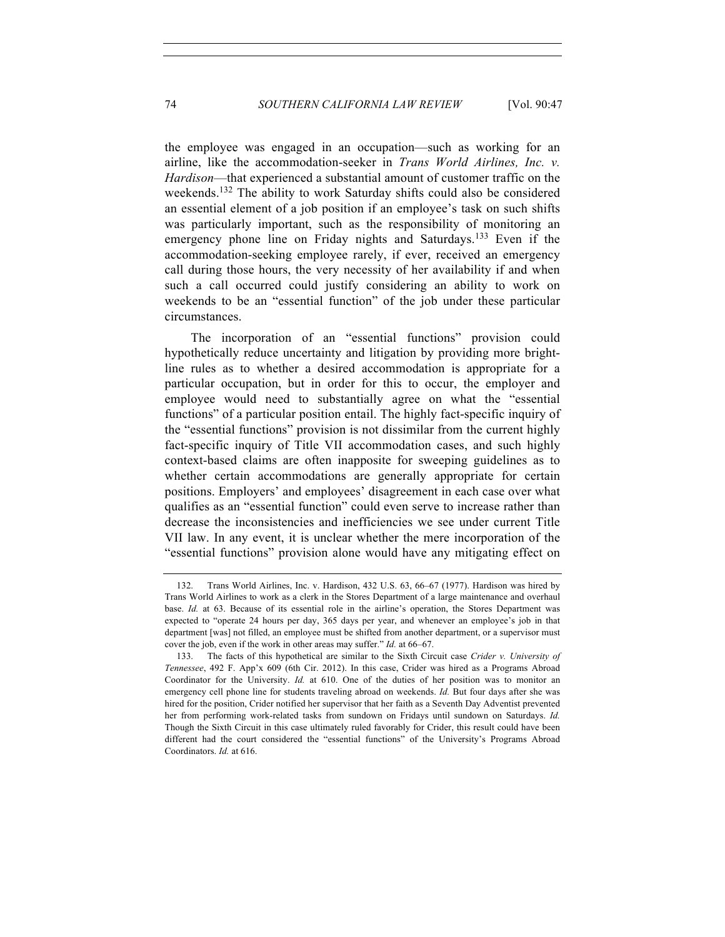the employee was engaged in an occupation—such as working for an airline, like the accommodation-seeker in *Trans World Airlines, Inc. v. Hardison*—that experienced a substantial amount of customer traffic on the weekends.132 The ability to work Saturday shifts could also be considered an essential element of a job position if an employee's task on such shifts was particularly important, such as the responsibility of monitoring an emergency phone line on Friday nights and Saturdays.<sup>133</sup> Even if the accommodation-seeking employee rarely, if ever, received an emergency call during those hours, the very necessity of her availability if and when such a call occurred could justify considering an ability to work on weekends to be an "essential function" of the job under these particular circumstances.

The incorporation of an "essential functions" provision could hypothetically reduce uncertainty and litigation by providing more brightline rules as to whether a desired accommodation is appropriate for a particular occupation, but in order for this to occur, the employer and employee would need to substantially agree on what the "essential functions" of a particular position entail. The highly fact-specific inquiry of the "essential functions" provision is not dissimilar from the current highly fact-specific inquiry of Title VII accommodation cases, and such highly context-based claims are often inapposite for sweeping guidelines as to whether certain accommodations are generally appropriate for certain positions. Employers' and employees' disagreement in each case over what qualifies as an "essential function" could even serve to increase rather than decrease the inconsistencies and inefficiencies we see under current Title VII law. In any event, it is unclear whether the mere incorporation of the "essential functions" provision alone would have any mitigating effect on

<sup>132.</sup> Trans World Airlines, Inc. v. Hardison, 432 U.S. 63, 66–67 (1977). Hardison was hired by Trans World Airlines to work as a clerk in the Stores Department of a large maintenance and overhaul base. *Id.* at 63. Because of its essential role in the airline's operation, the Stores Department was expected to "operate 24 hours per day, 365 days per year, and whenever an employee's job in that department [was] not filled, an employee must be shifted from another department, or a supervisor must cover the job, even if the work in other areas may suffer." *Id.* at 66–67.

 <sup>133.</sup> The facts of this hypothetical are similar to the Sixth Circuit case *Crider v. University of Tennessee*, 492 F. App'x 609 (6th Cir. 2012). In this case, Crider was hired as a Programs Abroad Coordinator for the University. *Id.* at 610. One of the duties of her position was to monitor an emergency cell phone line for students traveling abroad on weekends. *Id.* But four days after she was hired for the position, Crider notified her supervisor that her faith as a Seventh Day Adventist prevented her from performing work-related tasks from sundown on Fridays until sundown on Saturdays. *Id.* Though the Sixth Circuit in this case ultimately ruled favorably for Crider, this result could have been different had the court considered the "essential functions" of the University's Programs Abroad Coordinators. *Id.* at 616.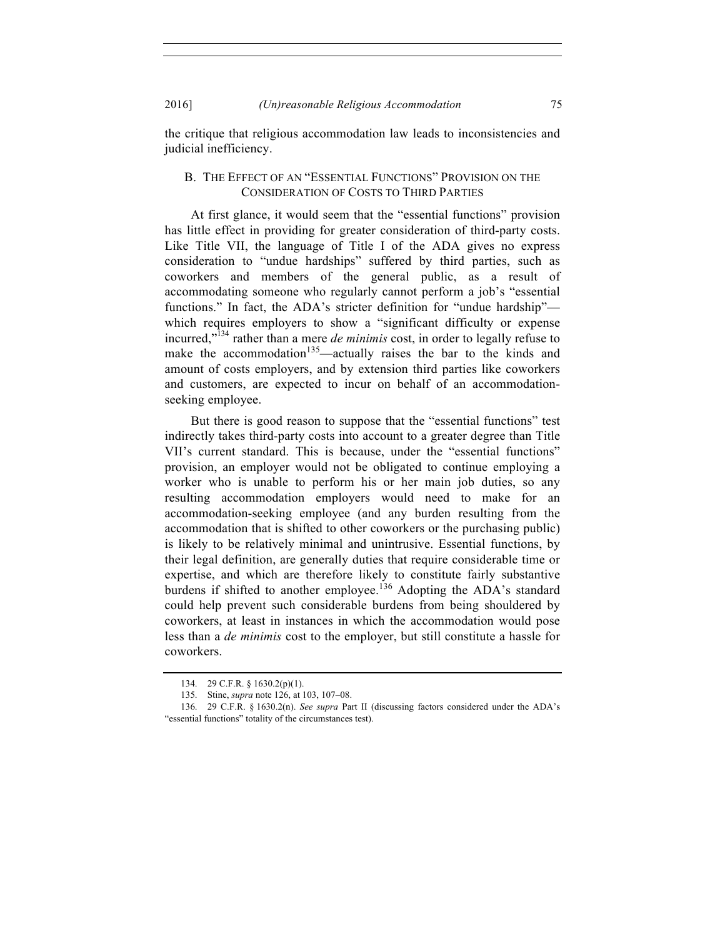2016] *(Un)reasonable Religious Accommodation* 75

the critique that religious accommodation law leads to inconsistencies and judicial inefficiency.

## B. THE EFFECT OF AN "ESSENTIAL FUNCTIONS" PROVISION ON THE CONSIDERATION OF COSTS TO THIRD PARTIES

At first glance, it would seem that the "essential functions" provision has little effect in providing for greater consideration of third-party costs. Like Title VII, the language of Title I of the ADA gives no express consideration to "undue hardships" suffered by third parties, such as coworkers and members of the general public, as a result of accommodating someone who regularly cannot perform a job's "essential functions." In fact, the ADA's stricter definition for "undue hardship" which requires employers to show a "significant difficulty or expense incurred," <sup>134</sup> rather than a mere *de minimis* cost, in order to legally refuse to make the accommodation<sup>135</sup>—actually raises the bar to the kinds and amount of costs employers, and by extension third parties like coworkers and customers, are expected to incur on behalf of an accommodationseeking employee.

But there is good reason to suppose that the "essential functions" test indirectly takes third-party costs into account to a greater degree than Title VII's current standard. This is because, under the "essential functions" provision, an employer would not be obligated to continue employing a worker who is unable to perform his or her main job duties, so any resulting accommodation employers would need to make for an accommodation-seeking employee (and any burden resulting from the accommodation that is shifted to other coworkers or the purchasing public) is likely to be relatively minimal and unintrusive. Essential functions, by their legal definition, are generally duties that require considerable time or expertise, and which are therefore likely to constitute fairly substantive burdens if shifted to another employee.<sup>136</sup> Adopting the ADA's standard could help prevent such considerable burdens from being shouldered by coworkers, at least in instances in which the accommodation would pose less than a *de minimis* cost to the employer, but still constitute a hassle for coworkers.

<sup>134.</sup> 29 C.F.R. § 1630.2(p)(1).

<sup>135.</sup> Stine, *supra* note 126, at 103, 107–08.

<sup>136.</sup> 29 C.F.R. § 1630.2(n). *See supra* Part II (discussing factors considered under the ADA's "essential functions" totality of the circumstances test).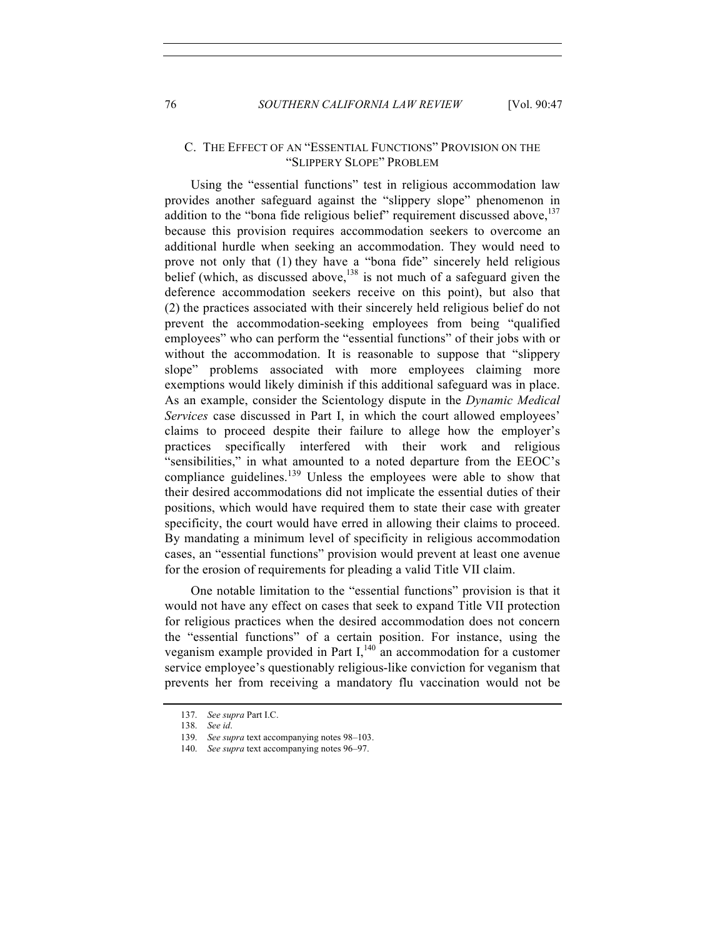#### C. THE EFFECT OF AN "ESSENTIAL FUNCTIONS" PROVISION ON THE "SLIPPERY SLOPE" PROBLEM

Using the "essential functions" test in religious accommodation law provides another safeguard against the "slippery slope" phenomenon in addition to the "bona fide religious belief" requirement discussed above,<sup>137</sup> because this provision requires accommodation seekers to overcome an additional hurdle when seeking an accommodation. They would need to prove not only that (1) they have a "bona fide" sincerely held religious belief (which, as discussed above,  $138$  is not much of a safeguard given the deference accommodation seekers receive on this point), but also that (2) the practices associated with their sincerely held religious belief do not prevent the accommodation-seeking employees from being "qualified employees" who can perform the "essential functions" of their jobs with or without the accommodation. It is reasonable to suppose that "slippery slope" problems associated with more employees claiming more exemptions would likely diminish if this additional safeguard was in place. As an example, consider the Scientology dispute in the *Dynamic Medical Services* case discussed in Part I, in which the court allowed employees' claims to proceed despite their failure to allege how the employer's practices specifically interfered with their work and religious "sensibilities," in what amounted to a noted departure from the EEOC's compliance guidelines.<sup>139</sup> Unless the employees were able to show that their desired accommodations did not implicate the essential duties of their positions, which would have required them to state their case with greater specificity, the court would have erred in allowing their claims to proceed. By mandating a minimum level of specificity in religious accommodation cases, an "essential functions" provision would prevent at least one avenue for the erosion of requirements for pleading a valid Title VII claim.

One notable limitation to the "essential functions" provision is that it would not have any effect on cases that seek to expand Title VII protection for religious practices when the desired accommodation does not concern the "essential functions" of a certain position. For instance, using the veganism example provided in Part  $I<sub>1</sub><sup>140</sup>$  an accommodation for a customer service employee's questionably religious-like conviction for veganism that prevents her from receiving a mandatory flu vaccination would not be

<sup>137.</sup> *See supra* Part I.C.

<sup>138.</sup> *See id*.

<sup>139.</sup> *See supra* text accompanying notes 98–103.

<sup>140.</sup> *See supra* text accompanying notes 96–97.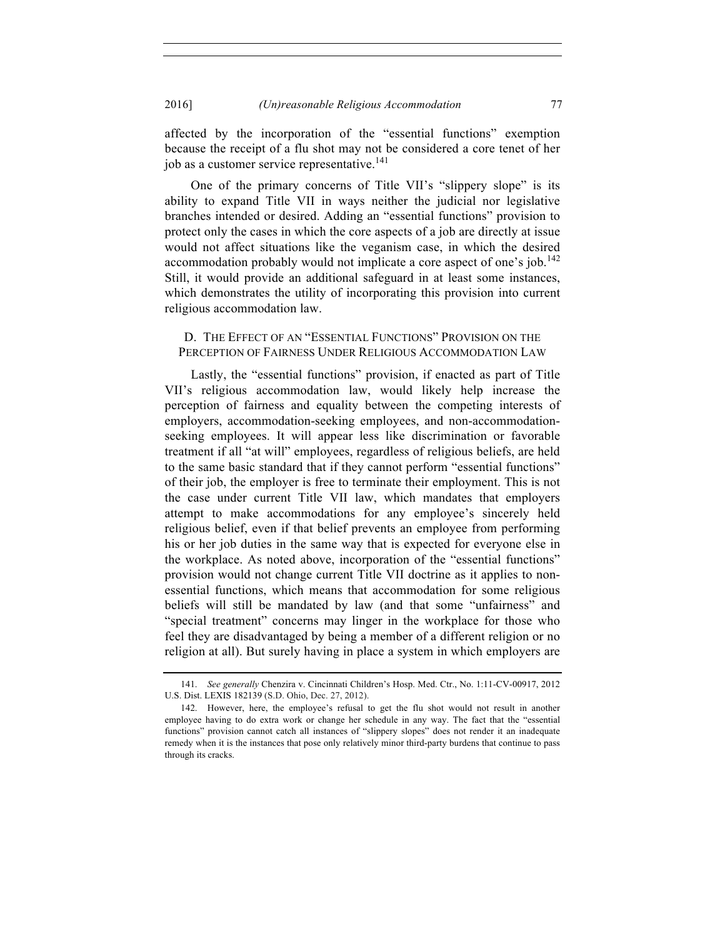affected by the incorporation of the "essential functions" exemption because the receipt of a flu shot may not be considered a core tenet of her job as a customer service representative.<sup>141</sup>

One of the primary concerns of Title VII's "slippery slope" is its ability to expand Title VII in ways neither the judicial nor legislative branches intended or desired. Adding an "essential functions" provision to protect only the cases in which the core aspects of a job are directly at issue would not affect situations like the veganism case, in which the desired accommodation probably would not implicate a core aspect of one's job.<sup>142</sup> Still, it would provide an additional safeguard in at least some instances, which demonstrates the utility of incorporating this provision into current religious accommodation law.

#### D. THE EFFECT OF AN "ESSENTIAL FUNCTIONS" PROVISION ON THE PERCEPTION OF FAIRNESS UNDER RELIGIOUS ACCOMMODATION LAW

Lastly, the "essential functions" provision, if enacted as part of Title VII's religious accommodation law, would likely help increase the perception of fairness and equality between the competing interests of employers, accommodation-seeking employees, and non-accommodationseeking employees. It will appear less like discrimination or favorable treatment if all "at will" employees, regardless of religious beliefs, are held to the same basic standard that if they cannot perform "essential functions" of their job, the employer is free to terminate their employment. This is not the case under current Title VII law, which mandates that employers attempt to make accommodations for any employee's sincerely held religious belief, even if that belief prevents an employee from performing his or her job duties in the same way that is expected for everyone else in the workplace. As noted above, incorporation of the "essential functions" provision would not change current Title VII doctrine as it applies to nonessential functions, which means that accommodation for some religious beliefs will still be mandated by law (and that some "unfairness" and "special treatment" concerns may linger in the workplace for those who feel they are disadvantaged by being a member of a different religion or no religion at all). But surely having in place a system in which employers are

<sup>141.</sup> *See generally* Chenzira v. Cincinnati Children's Hosp. Med. Ctr., No. 1:11-CV-00917, 2012 U.S. Dist. LEXIS 182139 (S.D. Ohio, Dec. 27, 2012).

<sup>142.</sup> However, here, the employee's refusal to get the flu shot would not result in another employee having to do extra work or change her schedule in any way. The fact that the "essential functions" provision cannot catch all instances of "slippery slopes" does not render it an inadequate remedy when it is the instances that pose only relatively minor third-party burdens that continue to pass through its cracks.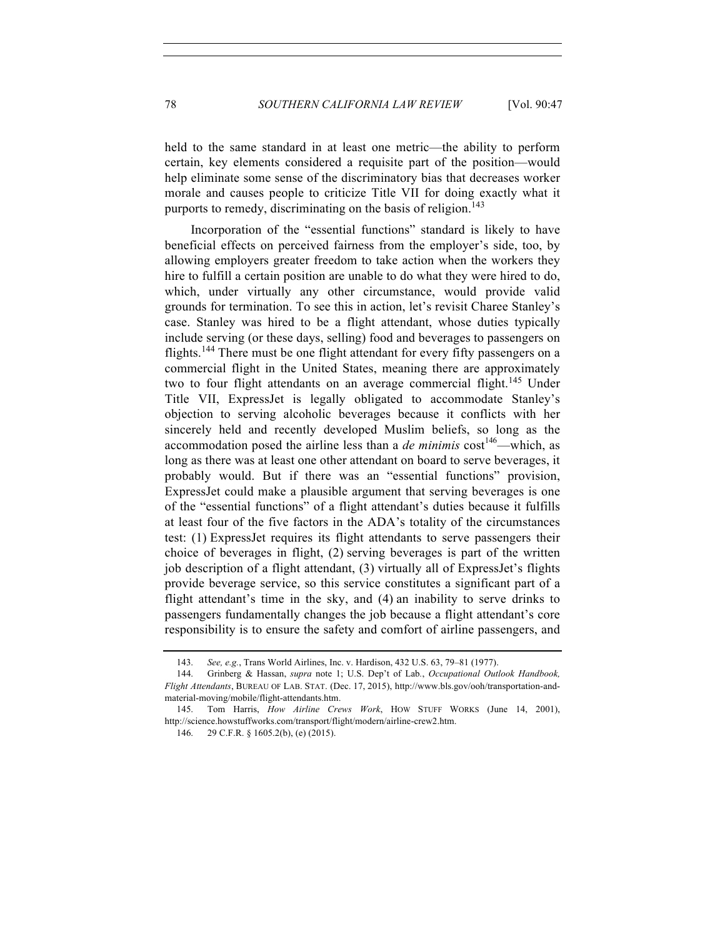held to the same standard in at least one metric—the ability to perform certain, key elements considered a requisite part of the position—would help eliminate some sense of the discriminatory bias that decreases worker morale and causes people to criticize Title VII for doing exactly what it purports to remedy, discriminating on the basis of religion.<sup>143</sup>

Incorporation of the "essential functions" standard is likely to have beneficial effects on perceived fairness from the employer's side, too, by allowing employers greater freedom to take action when the workers they hire to fulfill a certain position are unable to do what they were hired to do, which, under virtually any other circumstance, would provide valid grounds for termination. To see this in action, let's revisit Charee Stanley's case. Stanley was hired to be a flight attendant, whose duties typically include serving (or these days, selling) food and beverages to passengers on flights.<sup>144</sup> There must be one flight attendant for every fifty passengers on a commercial flight in the United States, meaning there are approximately two to four flight attendants on an average commercial flight.<sup>145</sup> Under Title VII, ExpressJet is legally obligated to accommodate Stanley's objection to serving alcoholic beverages because it conflicts with her sincerely held and recently developed Muslim beliefs, so long as the accommodation posed the airline less than a *de minimis*  $cost^{146}$ —which, as long as there was at least one other attendant on board to serve beverages, it probably would. But if there was an "essential functions" provision, ExpressJet could make a plausible argument that serving beverages is one of the "essential functions" of a flight attendant's duties because it fulfills at least four of the five factors in the ADA's totality of the circumstances test: (1) ExpressJet requires its flight attendants to serve passengers their choice of beverages in flight, (2) serving beverages is part of the written job description of a flight attendant, (3) virtually all of ExpressJet's flights provide beverage service, so this service constitutes a significant part of a flight attendant's time in the sky, and (4) an inability to serve drinks to passengers fundamentally changes the job because a flight attendant's core responsibility is to ensure the safety and comfort of airline passengers, and

<sup>143.</sup> *See, e.g.*, Trans World Airlines, Inc. v. Hardison, 432 U.S. 63, 79–81 (1977).

<sup>144.</sup> Grinberg & Hassan, *supra* note 1; U.S. Dep't of Lab*.*, *Occupational Outlook Handbook, Flight Attendants*, BUREAU OF LAB. STAT. (Dec. 17, 2015), http://www.bls.gov/ooh/transportation-andmaterial-moving/mobile/flight-attendants.htm.

<sup>145.</sup> Tom Harris, *How Airline Crews Work*, HOW STUFF WORKS (June 14, 2001), http://science.howstuffworks.com/transport/flight/modern/airline-crew2.htm.

 <sup>146.</sup> 29 C.F.R. § 1605.2(b), (e) (2015).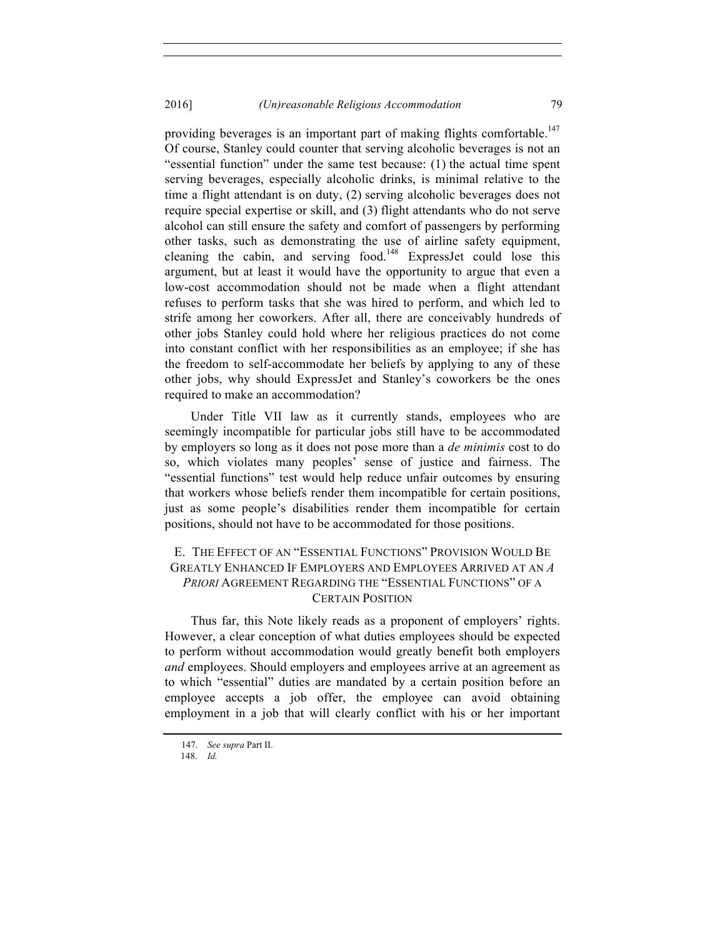providing beverages is an important part of making flights comfortable.<sup>147</sup> Of course, Stanley could counter that serving alcoholic beverages is not an "essential function" under the same test because: (1) the actual time spent serving beverages, especially alcoholic drinks, is minimal relative to the time a flight attendant is on duty, (2) serving alcoholic beverages does not require special expertise or skill, and (3) flight attendants who do not serve alcohol can still ensure the safety and comfort of passengers by performing other tasks, such as demonstrating the use of airline safety equipment, cleaning the cabin, and serving food.<sup>148</sup> ExpressJet could lose this argument, but at least it would have the opportunity to argue that even a low-cost accommodation should not be made when a flight attendant refuses to perform tasks that she was hired to perform, and which led to strife among her coworkers. After all, there are conceivably hundreds of other jobs Stanley could hold where her religious practices do not come into constant conflict with her responsibilities as an employee; if she has the freedom to self-accommodate her beliefs by applying to any of these other jobs, why should ExpressJet and Stanley's coworkers be the ones required to make an accommodation?

Under Title VII law as it currently stands, employees who are seemingly incompatible for particular jobs still have to be accommodated by employers so long as it does not pose more than a *de minimis* cost to do so, which violates many peoples' sense of justice and fairness. The "essential functions" test would help reduce unfair outcomes by ensuring that workers whose beliefs render them incompatible for certain positions, just as some people's disabilities render them incompatible for certain positions, should not have to be accommodated for those positions.

# E. THE EFFECT OF AN "ESSENTIAL FUNCTIONS" PROVISION WOULD BE GREATLY ENHANCED IF EMPLOYERS AND EMPLOYEES ARRIVED AT AN *A PRIORI* AGREEMENT REGARDING THE "ESSENTIAL FUNCTIONS" OF A CERTAIN POSITION

Thus far, this Note likely reads as a proponent of employers' rights. However, a clear conception of what duties employees should be expected to perform without accommodation would greatly benefit both employers *and* employees. Should employers and employees arrive at an agreement as to which "essential" duties are mandated by a certain position before an employee accepts a job offer, the employee can avoid obtaining employment in a job that will clearly conflict with his or her important

 <sup>147.</sup> *See supra* Part II.

<sup>148.</sup> *Id.*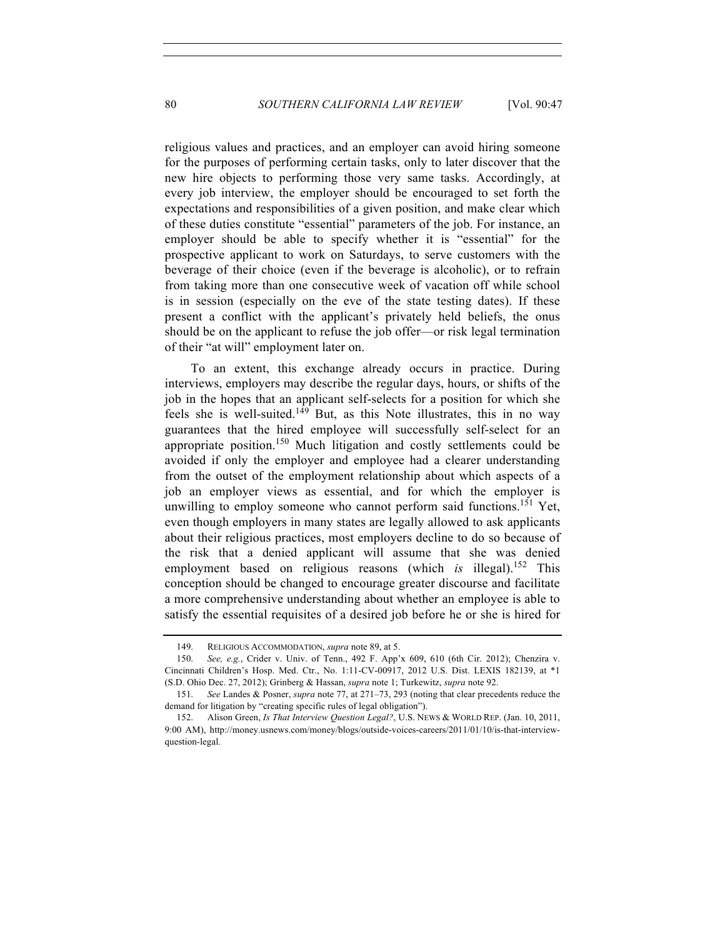religious values and practices, and an employer can avoid hiring someone for the purposes of performing certain tasks, only to later discover that the new hire objects to performing those very same tasks. Accordingly, at every job interview, the employer should be encouraged to set forth the expectations and responsibilities of a given position, and make clear which of these duties constitute "essential" parameters of the job. For instance, an employer should be able to specify whether it is "essential" for the prospective applicant to work on Saturdays, to serve customers with the beverage of their choice (even if the beverage is alcoholic), or to refrain from taking more than one consecutive week of vacation off while school is in session (especially on the eve of the state testing dates). If these present a conflict with the applicant's privately held beliefs, the onus should be on the applicant to refuse the job offer—or risk legal termination of their "at will" employment later on.

To an extent, this exchange already occurs in practice. During interviews, employers may describe the regular days, hours, or shifts of the job in the hopes that an applicant self-selects for a position for which she feels she is well-suited.<sup>149</sup> But, as this Note illustrates, this in no way guarantees that the hired employee will successfully self-select for an appropriate position.<sup>150</sup> Much litigation and costly settlements could be avoided if only the employer and employee had a clearer understanding from the outset of the employment relationship about which aspects of a job an employer views as essential, and for which the employer is unwilling to employ someone who cannot perform said functions.<sup>151</sup> Yet, even though employers in many states are legally allowed to ask applicants about their religious practices, most employers decline to do so because of the risk that a denied applicant will assume that she was denied employment based on religious reasons (which *is* illegal).<sup>152</sup> This conception should be changed to encourage greater discourse and facilitate a more comprehensive understanding about whether an employee is able to satisfy the essential requisites of a desired job before he or she is hired for

<sup>149.</sup> RELIGIOUS ACCOMMODATION, *supra* note 89, at 5.

<sup>150.</sup> *See, e.g.*, Crider v. Univ. of Tenn., 492 F. App'x 609, 610 (6th Cir. 2012); Chenzira v. Cincinnati Children's Hosp. Med. Ctr., No. 1:11-CV-00917, 2012 U.S. Dist. LEXIS 182139, at \*1 (S.D. Ohio Dec. 27, 2012); Grinberg & Hassan, *supra* note 1; Turkewitz, *supra* note 92.

<sup>151.</sup> *See* Landes & Posner, *supra* note 77, at 271–73, 293 (noting that clear precedents reduce the demand for litigation by "creating specific rules of legal obligation").

<sup>152.</sup> Alison Green, *Is That Interview Question Legal?*, U.S. NEWS & WORLD REP. (Jan. 10, 2011, 9:00 AM), http://money.usnews.com/money/blogs/outside-voices-careers/2011/01/10/is-that-interviewquestion-legal.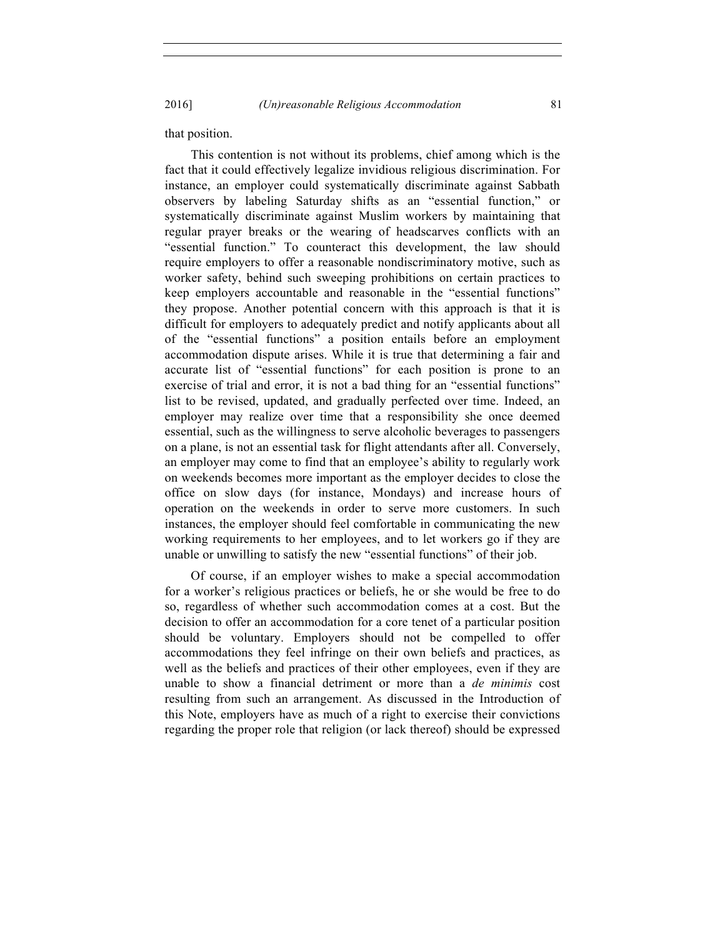2016] *(Un)reasonable Religious Accommodation* 81

that position.

This contention is not without its problems, chief among which is the fact that it could effectively legalize invidious religious discrimination. For instance, an employer could systematically discriminate against Sabbath observers by labeling Saturday shifts as an "essential function," or systematically discriminate against Muslim workers by maintaining that regular prayer breaks or the wearing of headscarves conflicts with an "essential function." To counteract this development, the law should require employers to offer a reasonable nondiscriminatory motive, such as worker safety, behind such sweeping prohibitions on certain practices to keep employers accountable and reasonable in the "essential functions" they propose. Another potential concern with this approach is that it is difficult for employers to adequately predict and notify applicants about all of the "essential functions" a position entails before an employment accommodation dispute arises. While it is true that determining a fair and accurate list of "essential functions" for each position is prone to an exercise of trial and error, it is not a bad thing for an "essential functions" list to be revised, updated, and gradually perfected over time. Indeed, an employer may realize over time that a responsibility she once deemed essential, such as the willingness to serve alcoholic beverages to passengers on a plane, is not an essential task for flight attendants after all. Conversely, an employer may come to find that an employee's ability to regularly work on weekends becomes more important as the employer decides to close the office on slow days (for instance, Mondays) and increase hours of operation on the weekends in order to serve more customers. In such instances, the employer should feel comfortable in communicating the new working requirements to her employees, and to let workers go if they are unable or unwilling to satisfy the new "essential functions" of their job.

Of course, if an employer wishes to make a special accommodation for a worker's religious practices or beliefs, he or she would be free to do so, regardless of whether such accommodation comes at a cost. But the decision to offer an accommodation for a core tenet of a particular position should be voluntary. Employers should not be compelled to offer accommodations they feel infringe on their own beliefs and practices, as well as the beliefs and practices of their other employees, even if they are unable to show a financial detriment or more than a *de minimis* cost resulting from such an arrangement. As discussed in the Introduction of this Note, employers have as much of a right to exercise their convictions regarding the proper role that religion (or lack thereof) should be expressed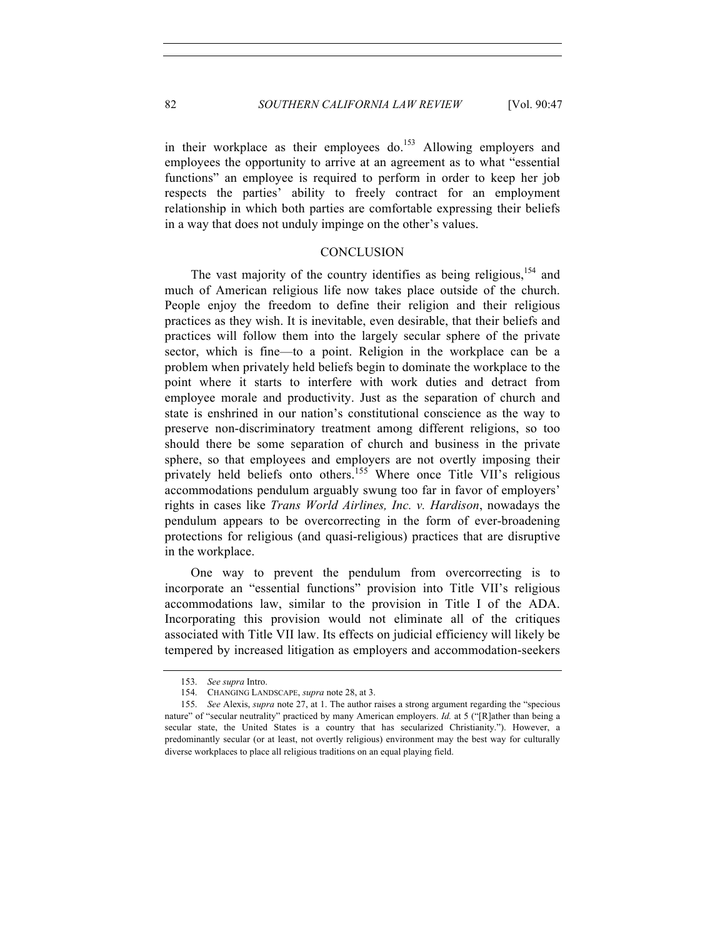in their workplace as their employees do.<sup>153</sup> Allowing employers and employees the opportunity to arrive at an agreement as to what "essential functions" an employee is required to perform in order to keep her job respects the parties' ability to freely contract for an employment relationship in which both parties are comfortable expressing their beliefs in a way that does not unduly impinge on the other's values.

#### **CONCLUSION**

The vast majority of the country identifies as being religious.<sup>154</sup> and much of American religious life now takes place outside of the church. People enjoy the freedom to define their religion and their religious practices as they wish. It is inevitable, even desirable, that their beliefs and practices will follow them into the largely secular sphere of the private sector, which is fine—to a point. Religion in the workplace can be a problem when privately held beliefs begin to dominate the workplace to the point where it starts to interfere with work duties and detract from employee morale and productivity. Just as the separation of church and state is enshrined in our nation's constitutional conscience as the way to preserve non-discriminatory treatment among different religions, so too should there be some separation of church and business in the private sphere, so that employees and employers are not overtly imposing their privately held beliefs onto others.<sup>155</sup> Where once Title VII's religious accommodations pendulum arguably swung too far in favor of employers' rights in cases like *Trans World Airlines, Inc. v. Hardison*, nowadays the pendulum appears to be overcorrecting in the form of ever-broadening protections for religious (and quasi-religious) practices that are disruptive in the workplace.

One way to prevent the pendulum from overcorrecting is to incorporate an "essential functions" provision into Title VII's religious accommodations law, similar to the provision in Title I of the ADA. Incorporating this provision would not eliminate all of the critiques associated with Title VII law. Its effects on judicial efficiency will likely be tempered by increased litigation as employers and accommodation-seekers

<sup>153.</sup> *See supra* Intro.

<sup>154.</sup> CHANGING LANDSCAPE, *supra* note 28, at 3.

<sup>155.</sup> *See* Alexis, *supra* note 27, at 1. The author raises a strong argument regarding the "specious nature" of "secular neutrality" practiced by many American employers. *Id.* at 5 ("[R]ather than being a secular state, the United States is a country that has secularized Christianity."). However, a predominantly secular (or at least, not overtly religious) environment may the best way for culturally diverse workplaces to place all religious traditions on an equal playing field.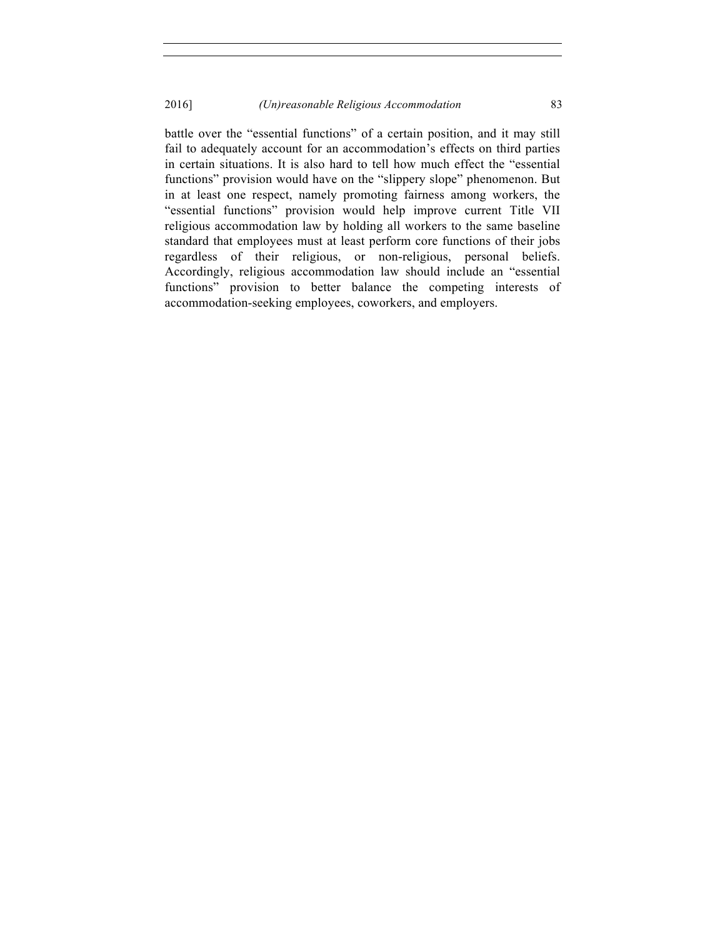battle over the "essential functions" of a certain position, and it may still fail to adequately account for an accommodation's effects on third parties in certain situations. It is also hard to tell how much effect the "essential functions" provision would have on the "slippery slope" phenomenon. But in at least one respect, namely promoting fairness among workers, the "essential functions" provision would help improve current Title VII religious accommodation law by holding all workers to the same baseline standard that employees must at least perform core functions of their jobs regardless of their religious, or non-religious, personal beliefs. Accordingly, religious accommodation law should include an "essential functions" provision to better balance the competing interests of accommodation-seeking employees, coworkers, and employers.